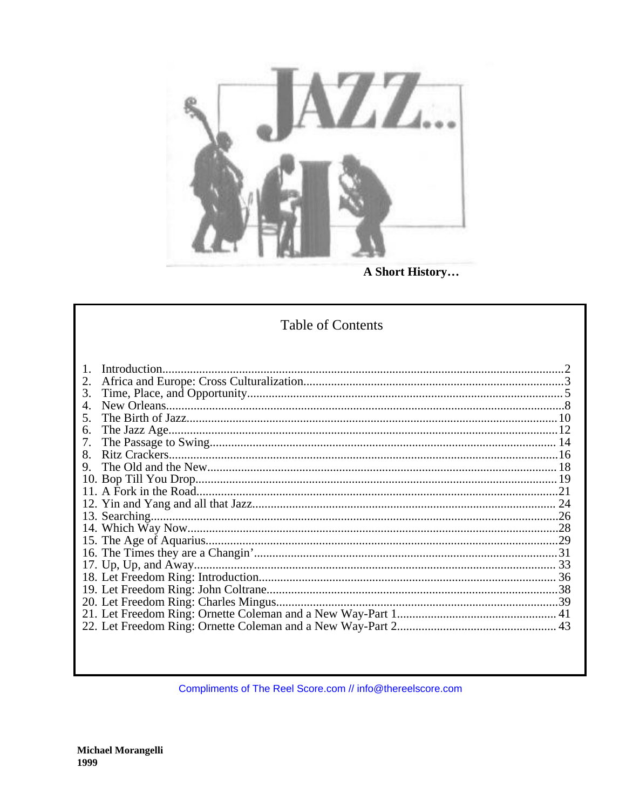

A Short History...

# **Table of Contents**

| 1.                     |  |
|------------------------|--|
| $\mathcal{D}_{\alpha}$ |  |
| $\mathcal{R}_{\alpha}$ |  |
| $\mathbf{4}$           |  |
| 5.                     |  |
| 6.                     |  |
| 7.                     |  |
| 8.                     |  |
|                        |  |
|                        |  |
|                        |  |
|                        |  |
|                        |  |
|                        |  |
|                        |  |
|                        |  |
|                        |  |
|                        |  |
|                        |  |
|                        |  |
|                        |  |
|                        |  |
|                        |  |
|                        |  |

Compliments of The Reel Score.com // info@thereelscore.com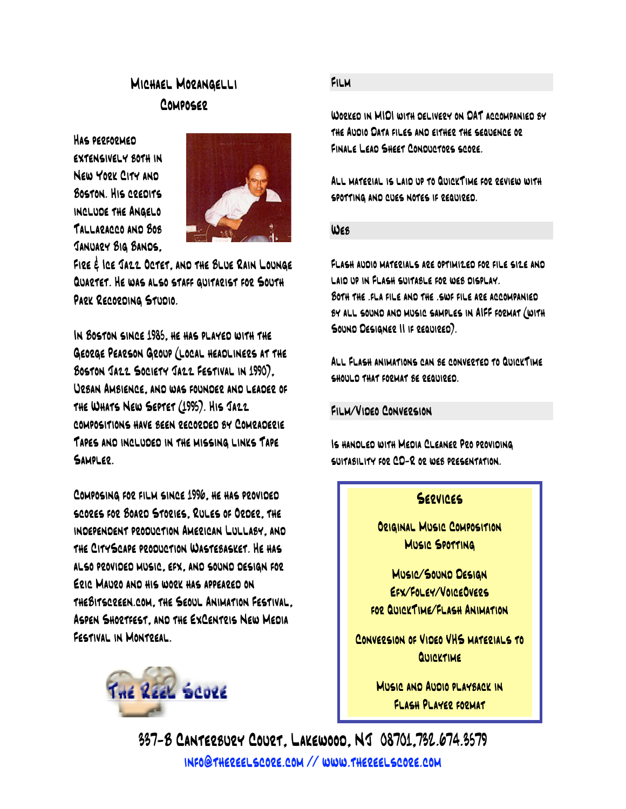# Michael Morangelli Composer

Has performed extensively both in New York City and Boston. His credits include the Angelo Tallaracco and Bob January Big Bands,



Fire & Ice Jazz Octet, and the Blue Rain Lounge Quartet. He was also staff guitarist for South Park Recording Studio.

In Boston since 1985, he has played with the George Pearson Group (local headliners at the Boston Jazz Society Jazz Festival in 1990), Urban Ambience, and was founder and leader of the Whats New Septet (1995). His Jazz compositions have been recorded by Comraderie Tapes and included in the missing links Tape Sampler.

Composing for film since 1996, he has provided scores for Board Stories, Rules of Order, the independent production American Lullaby, and the CityScape production Wastebasket. He has also provided music, efx, and sound design for Eric Mauro and his work has appeared on theBitscreen.com, the Seoul Animation Festival, Aspen Shortfest, and the ExCentris New Media FESTIVAL IN MONTREAL



## Film

Worked in MIDI with delivery on DAT accompanied by the Audio Data files and either the sequence or Finale Lead Sheet Conductors score.

All material is laid up to QuickTime for review with spotting and cues notes if required.

## Web

Flash audio materials are optimized for file size and laid up in Flash suitable for web display. Both the .fla file and the .swf file are accompanied by all sound and music samples in AIFF format (with Sound Designer II if required).

All Flash animations can be converted to QuickTime should that format be required.

## Film/Video Conversion

Is handled with Media Cleaner Pro providing suitability for CD-R or web presentation.

# Services

Original Music Composition Music Spotting

Music/Sound Design Efx/Foley/VoiceOvers for QuickTime/Flash Animation

Conversion of Video VHS materials to **QUICKTIME** 

> Music and Audio playback in Flash Player format

337-B Canterbury Court, Lakewood, NJ 08701,732.674.3579 info@thereelscore.com // www.thereelscore.com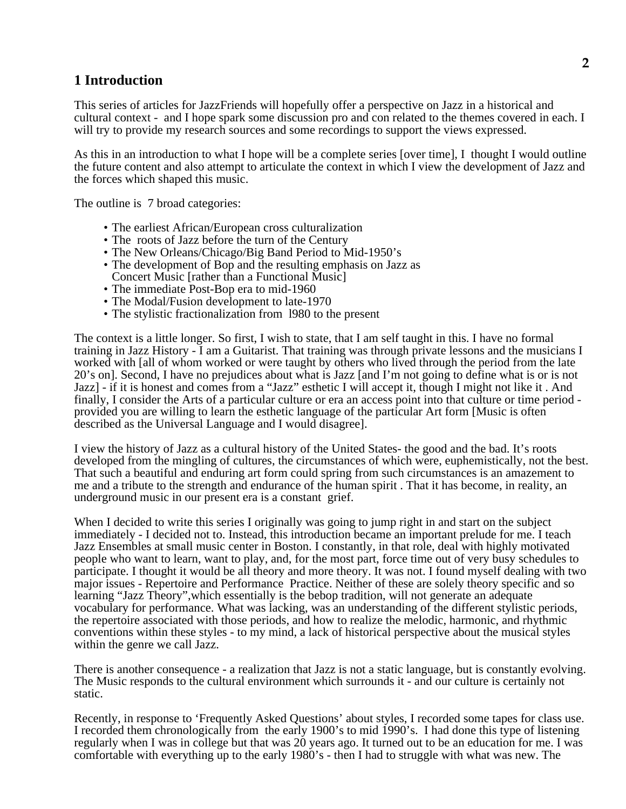# **1 Introduction**

This series of articles for JazzFriends will hopefully offer a perspective on Jazz in a historical and cultural context - and I hope spark some discussion pro and con related to the themes covered in each. I will try to provide my research sources and some recordings to support the views expressed.

As this in an introduction to what I hope will be a complete series [over time], I thought I would outline the future content and also attempt to articulate the context in which I view the development of Jazz and the forces which shaped this music.

The outline is 7 broad categories:

- The earliest African/European cross culturalization
- The roots of Jazz before the turn of the Century
- The New Orleans/Chicago/Big Band Period to Mid-1950's
- The development of Bop and the resulting emphasis on Jazz as Concert Music [rather than a Functional Music]
- The immediate Post-Bop era to mid-1960
- The Modal/Fusion development to late-1970
- The stylistic fractionalization from l980 to the present

The context is a little longer. So first, I wish to state, that I am self taught in this. I have no formal training in Jazz History - I am a Guitarist. That training was through private lessons and the musicians I worked with [all of whom worked or were taught by others who lived through the period from the late 20's on]. Second, I have no prejudices about what is Jazz [and I'm not going to define what is or is not Jazz] - if it is honest and comes from a "Jazz" esthetic I will accept it, though I might not like it . And finally, I consider the Arts of a particular culture or era an access point into that culture or time period provided you are willing to learn the esthetic language of the particular Art form [Music is often described as the Universal Language and I would disagree].

I view the history of Jazz as a cultural history of the United States- the good and the bad. It's roots developed from the mingling of cultures, the circumstances of which were, euphemistically, not the best. That such a beautiful and enduring art form could spring from such circumstances is an amazement to me and a tribute to the strength and endurance of the human spirit . That it has become, in reality, an underground music in our present era is a constant grief.

When I decided to write this series I originally was going to jump right in and start on the subject immediately - I decided not to. Instead, this introduction became an important prelude for me. I teach Jazz Ensembles at small music center in Boston. I constantly, in that role, deal with highly motivated people who want to learn, want to play, and, for the most part, force time out of very busy schedules to participate. I thought it would be all theory and more theory. It was not. I found myself dealing with two major issues - Repertoire and Performance Practice. Neither of these are solely theory specific and so learning "Jazz Theory",which essentially is the bebop tradition, will not generate an adequate vocabulary for performance. What was lacking, was an understanding of the different stylistic periods, the repertoire associated with those periods, and how to realize the melodic, harmonic, and rhythmic conventions within these styles - to my mind, a lack of historical perspective about the musical styles within the genre we call Jazz.

There is another consequence - a realization that Jazz is not a static language, but is constantly evolving. The Music responds to the cultural environment which surrounds it - and our culture is certainly not static.

Recently, in response to 'Frequently Asked Questions' about styles, I recorded some tapes for class use. I recorded them chronologically from the early 1900's to mid 1990's. I had done this type of listening regularly when I was in college but that was 20 years ago. It turned out to be an education for me. I was comfortable with everything up to the early 1980's - then I had to struggle with what was new. The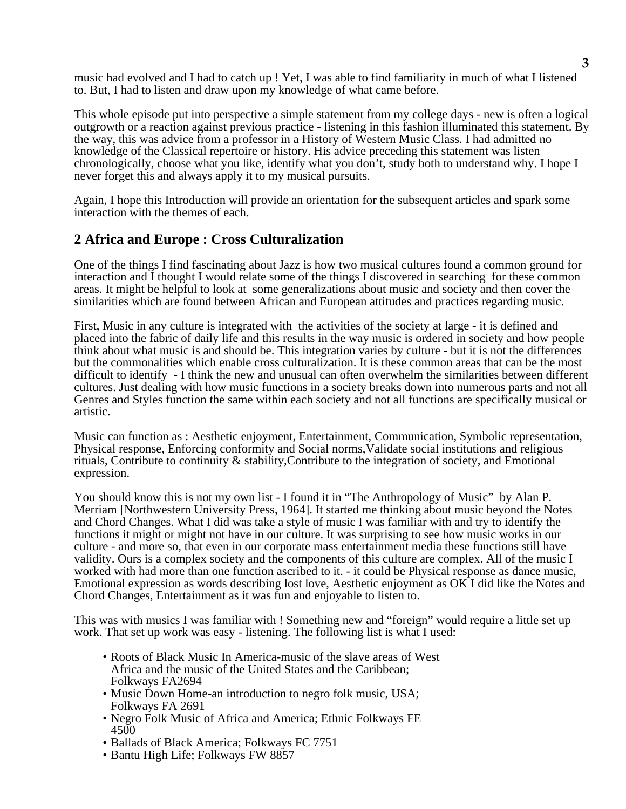music had evolved and I had to catch up ! Yet, I was able to find familiarity in much of what I listened to. But, I had to listen and draw upon my knowledge of what came before.

This whole episode put into perspective a simple statement from my college days - new is often a logical outgrowth or a reaction against previous practice - listening in this fashion illuminated this statement. By the way, this was advice from a professor in a History of Western Music Class. I had admitted no knowledge of the Classical repertoire or history. His advice preceding this statement was listen chronologically, choose what you like, identify what you don't, study both to understand why. I hope I never forget this and always apply it to my musical pursuits.

Again, I hope this Introduction will provide an orientation for the subsequent articles and spark some interaction with the themes of each.

## **2 Africa and Europe : Cross Culturalization**

One of the things I find fascinating about Jazz is how two musical cultures found a common ground for interaction and I thought I would relate some of the things I discovered in searching for these common areas. It might be helpful to look at some generalizations about music and society and then cover the similarities which are found between African and European attitudes and practices regarding music.

First, Music in any culture is integrated with the activities of the society at large - it is defined and placed into the fabric of daily life and this results in the way music is ordered in society and how people think about what music is and should be. This integration varies by culture - but it is not the differences but the commonalities which enable cross culturalization. It is these common areas that can be the most difficult to identify - I think the new and unusual can often overwhelm the similarities between different cultures. Just dealing with how music functions in a society breaks down into numerous parts and not all Genres and Styles function the same within each society and not all functions are specifically musical or artistic.

Music can function as : Aesthetic enjoyment, Entertainment, Communication, Symbolic representation, Physical response, Enforcing conformity and Social norms,Validate social institutions and religious rituals, Contribute to continuity & stability,Contribute to the integration of society, and Emotional expression.

You should know this is not my own list - I found it in "The Anthropology of Music" by Alan P. Merriam [Northwestern University Press, 1964]. It started me thinking about music beyond the Notes and Chord Changes. What I did was take a style of music I was familiar with and try to identify the functions it might or might not have in our culture. It was surprising to see how music works in our culture - and more so, that even in our corporate mass entertainment media these functions still have validity. Ours is a complex society and the components of this culture are complex. All of the music I worked with had more than one function ascribed to it. - it could be Physical response as dance music, Emotional expression as words describing lost love, Aesthetic enjoyment as OK I did like the Notes and Chord Changes, Entertainment as it was fun and enjoyable to listen to.

This was with musics I was familiar with ! Something new and "foreign" would require a little set up work. That set up work was easy - listening. The following list is what I used:

- Roots of Black Music In America-music of the slave areas of West Africa and the music of the United States and the Caribbean; Folkways FA2694
- Music Down Home-an introduction to negro folk music, USA; Folkways FA 2691
- Negro Folk Music of Africa and America; Ethnic Folkways FE 4500
- Ballads of Black America; Folkways FC 7751
- Bantu High Life; Folkways FW 8857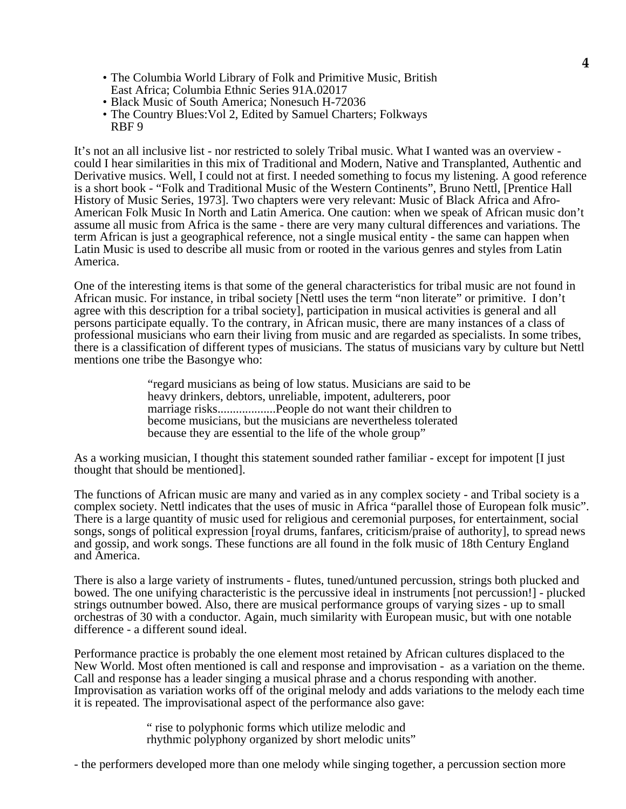- The Columbia World Library of Folk and Primitive Music, British East Africa; Columbia Ethnic Series 91A.02017
- Black Music of South America; Nonesuch H-72036
- The Country Blues: Vol 2, Edited by Samuel Charters; Folkways RBF 9

It's not an all inclusive list - nor restricted to solely Tribal music. What I wanted was an overview could I hear similarities in this mix of Traditional and Modern, Native and Transplanted, Authentic and Derivative musics. Well, I could not at first. I needed something to focus my listening. A good reference is a short book - "Folk and Traditional Music of the Western Continents", Bruno Nettl, [Prentice Hall History of Music Series, 1973]. Two chapters were very relevant: Music of Black Africa and Afro-American Folk Music In North and Latin America. One caution: when we speak of African music don't assume all music from Africa is the same - there are very many cultural differences and variations. The term African is just a geographical reference, not a single musical entity - the same can happen when Latin Music is used to describe all music from or rooted in the various genres and styles from Latin America.

One of the interesting items is that some of the general characteristics for tribal music are not found in African music. For instance, in tribal society [Nettl uses the term "non literate" or primitive. I don't agree with this description for a tribal society], participation in musical activities is general and all persons participate equally. To the contrary, in African music, there are many instances of a class of professional musicians who earn their living from music and are regarded as specialists. In some tribes, there is a classification of different types of musicians. The status of musicians vary by culture but Nettl mentions one tribe the Basongye who:

> "regard musicians as being of low status. Musicians are said to be heavy drinkers, debtors, unreliable, impotent, adulterers, poor marriage risks...................People do not want their children to become musicians, but the musicians are nevertheless tolerated because they are essential to the life of the whole group"

As a working musician, I thought this statement sounded rather familiar - except for impotent [I just thought that should be mentioned].

The functions of African music are many and varied as in any complex society - and Tribal society is a complex society. Nettl indicates that the uses of music in Africa "parallel those of European folk music". There is a large quantity of music used for religious and ceremonial purposes, for entertainment, social songs, songs of political expression [royal drums, fanfares, criticism/praise of authority], to spread news and gossip, and work songs. These functions are all found in the folk music of 18th Century England and America.

There is also a large variety of instruments - flutes, tuned/untuned percussion, strings both plucked and bowed. The one unifying characteristic is the percussive ideal in instruments [not percussion!] - plucked strings outnumber bowed. Also, there are musical performance groups of varying sizes - up to small orchestras of 30 with a conductor. Again, much similarity with European music, but with one notable difference - a different sound ideal.

Performance practice is probably the one element most retained by African cultures displaced to the New World. Most often mentioned is call and response and improvisation - as a variation on the theme. Call and response has a leader singing a musical phrase and a chorus responding with another. Improvisation as variation works off of the original melody and adds variations to the melody each time it is repeated. The improvisational aspect of the performance also gave:

> " rise to polyphonic forms which utilize melodic and rhythmic polyphony organized by short melodic units"

- the performers developed more than one melody while singing together, a percussion section more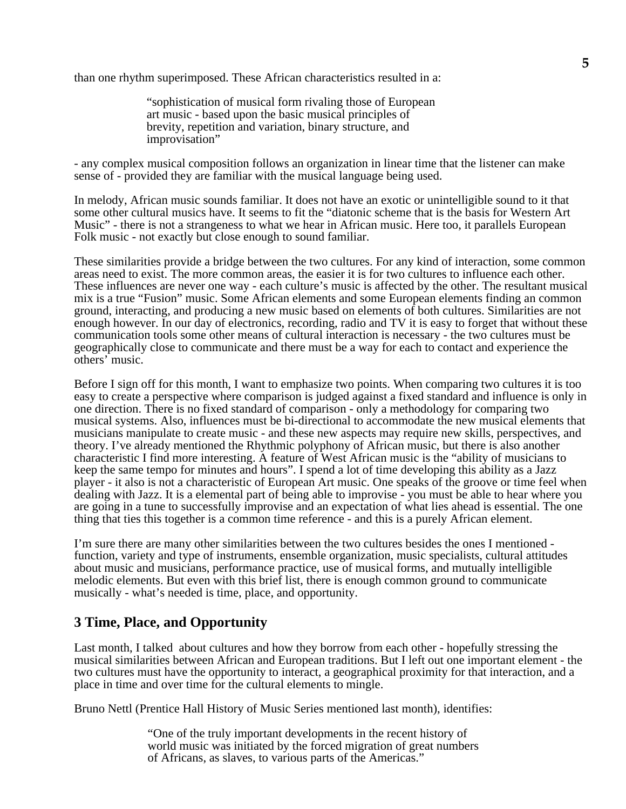than one rhythm superimposed. These African characteristics resulted in a:

"sophistication of musical form rivaling those of European art music - based upon the basic musical principles of brevity, repetition and variation, binary structure, and improvisation"

- any complex musical composition follows an organization in linear time that the listener can make sense of - provided they are familiar with the musical language being used.

In melody, African music sounds familiar. It does not have an exotic or unintelligible sound to it that some other cultural musics have. It seems to fit the "diatonic scheme that is the basis for Western Art Music" - there is not a strangeness to what we hear in African music. Here too, it parallels European Folk music - not exactly but close enough to sound familiar.

These similarities provide a bridge between the two cultures. For any kind of interaction, some common areas need to exist. The more common areas, the easier it is for two cultures to influence each other. These influences are never one way - each culture's music is affected by the other. The resultant musical mix is a true "Fusion" music. Some African elements and some European elements finding an common ground, interacting, and producing a new music based on elements of both cultures. Similarities are not enough however. In our day of electronics, recording, radio and TV it is easy to forget that without these communication tools some other means of cultural interaction is necessary - the two cultures must be geographically close to communicate and there must be a way for each to contact and experience the others' music.

Before I sign off for this month, I want to emphasize two points. When comparing two cultures it is too easy to create a perspective where comparison is judged against a fixed standard and influence is only in one direction. There is no fixed standard of comparison - only a methodology for comparing two musical systems. Also, influences must be bi-directional to accommodate the new musical elements that musicians manipulate to create music - and these new aspects may require new skills, perspectives, and theory. I've already mentioned the Rhythmic polyphony of African music, but there is also another characteristic I find more interesting. A feature of West African music is the "ability of musicians to keep the same tempo for minutes and hours". I spend a lot of time developing this ability as a Jazz player - it also is not a characteristic of European Art music. One speaks of the groove or time feel when dealing with Jazz. It is a elemental part of being able to improvise - you must be able to hear where you are going in a tune to successfully improvise and an expectation of what lies ahead is essential. The one thing that ties this together is a common time reference - and this is a purely African element.

I'm sure there are many other similarities between the two cultures besides the ones I mentioned function, variety and type of instruments, ensemble organization, music specialists, cultural attitudes about music and musicians, performance practice, use of musical forms, and mutually intelligible melodic elements. But even with this brief list, there is enough common ground to communicate musically - what's needed is time, place, and opportunity.

# **3 Time, Place, and Opportunity**

Last month, I talked about cultures and how they borrow from each other - hopefully stressing the musical similarities between African and European traditions. But I left out one important element - the two cultures must have the opportunity to interact, a geographical proximity for that interaction, and a place in time and over time for the cultural elements to mingle.

Bruno Nettl (Prentice Hall History of Music Series mentioned last month), identifies:

"One of the truly important developments in the recent history of world music was initiated by the forced migration of great numbers of Africans, as slaves, to various parts of the Americas."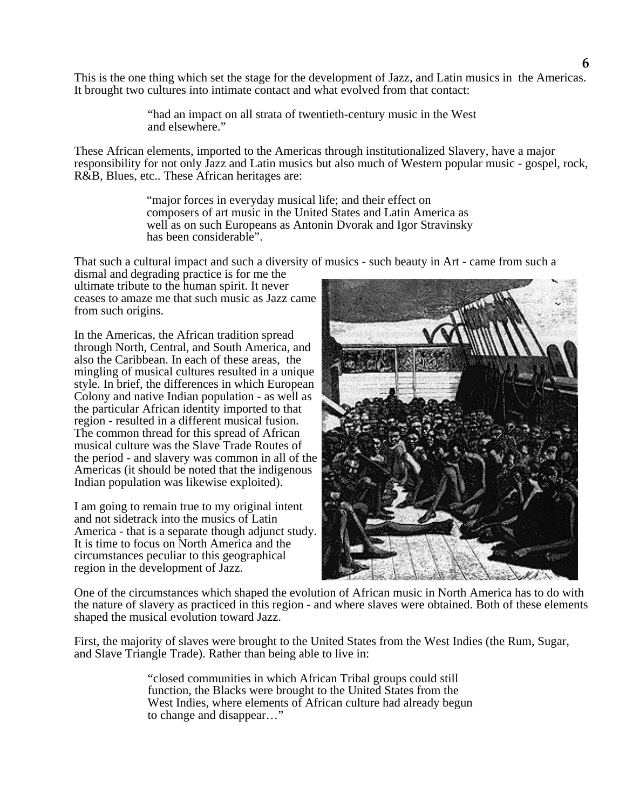This is the one thing which set the stage for the development of Jazz, and Latin musics in the Americas. It brought two cultures into intimate contact and what evolved from that contact:

> "had an impact on all strata of twentieth-century music in the West and elsewhere."

These African elements, imported to the Americas through institutionalized Slavery, have a major responsibility for not only Jazz and Latin musics but also much of Western popular music - gospel, rock, R&B, Blues, etc.. These African heritages are:

> "major forces in everyday musical life; and their effect on composers of art music in the United States and Latin America as well as on such Europeans as Antonin Dvorak and Igor Stravinsky has been considerable".

That such a cultural impact and such a diversity of musics - such beauty in Art - came from such a

dismal and degrading practice is for me the ultimate tribute to the human spirit. It never ceases to amaze me that such music as Jazz came from such origins.

In the Americas, the African tradition spread through North, Central, and South America, and also the Caribbean. In each of these areas, the mingling of musical cultures resulted in a unique style. In brief, the differences in which European Colony and native Indian population - as well as the particular African identity imported to that region - resulted in a different musical fusion. The common thread for this spread of African musical culture was the Slave Trade Routes of the period - and slavery was common in all of the Americas (it should be noted that the indigenous Indian population was likewise exploited).

I am going to remain true to my original intent and not sidetrack into the musics of Latin America - that is a separate though adjunct study. It is time to focus on North America and the circumstances peculiar to this geographical region in the development of Jazz.



One of the circumstances which shaped the evolution of African music in North America has to do with the nature of slavery as practiced in this region - and where slaves were obtained. Both of these elements shaped the musical evolution toward Jazz.

First, the majority of slaves were brought to the United States from the West Indies (the Rum, Sugar, and Slave Triangle Trade). Rather than being able to live in:

> "closed communities in which African Tribal groups could still function, the Blacks were brought to the United States from the West Indies, where elements of African culture had already begun to change and disappear…"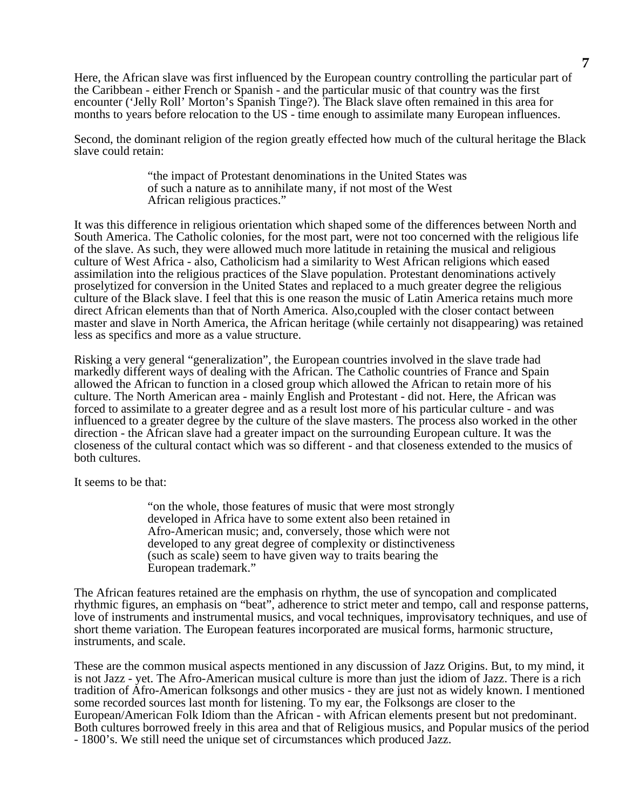Here, the African slave was first influenced by the European country controlling the particular part of the Caribbean - either French or Spanish - and the particular music of that country was the first encounter ('Jelly Roll' Morton's Spanish Tinge?). The Black slave often remained in this area for months to years before relocation to the US - time enough to assimilate many European influences.

Second, the dominant religion of the region greatly effected how much of the cultural heritage the Black slave could retain:

> "the impact of Protestant denominations in the United States was of such a nature as to annihilate many, if not most of the West African religious practices."

It was this difference in religious orientation which shaped some of the differences between North and South America. The Catholic colonies, for the most part, were not too concerned with the religious life of the slave. As such, they were allowed much more latitude in retaining the musical and religious culture of West Africa - also, Catholicism had a similarity to West African religions which eased assimilation into the religious practices of the Slave population. Protestant denominations actively proselytized for conversion in the United States and replaced to a much greater degree the religious culture of the Black slave. I feel that this is one reason the music of Latin America retains much more direct African elements than that of North America. Also,coupled with the closer contact between master and slave in North America, the African heritage (while certainly not disappearing) was retained less as specifics and more as a value structure.

Risking a very general "generalization", the European countries involved in the slave trade had markedly different ways of dealing with the African. The Catholic countries of France and Spain allowed the African to function in a closed group which allowed the African to retain more of his culture. The North American area - mainly English and Protestant - did not. Here, the African was forced to assimilate to a greater degree and as a result lost more of his particular culture - and was influenced to a greater degree by the culture of the slave masters. The process also worked in the other direction - the African slave had a greater impact on the surrounding European culture. It was the closeness of the cultural contact which was so different - and that closeness extended to the musics of both cultures.

It seems to be that:

"on the whole, those features of music that were most strongly developed in Africa have to some extent also been retained in Afro-American music; and, conversely, those which were not developed to any great degree of complexity or distinctiveness (such as scale) seem to have given way to traits bearing the European trademark."

The African features retained are the emphasis on rhythm, the use of syncopation and complicated rhythmic figures, an emphasis on "beat", adherence to strict meter and tempo, call and response patterns, love of instruments and instrumental musics, and vocal techniques, improvisatory techniques, and use of short theme variation. The European features incorporated are musical forms, harmonic structure, instruments, and scale.

These are the common musical aspects mentioned in any discussion of Jazz Origins. But, to my mind, it is not Jazz - yet. The Afro-American musical culture is more than just the idiom of Jazz. There is a rich tradition of Afro-American folksongs and other musics - they are just not as widely known. I mentioned some recorded sources last month for listening. To my ear, the Folksongs are closer to the European/American Folk Idiom than the African - with African elements present but not predominant. Both cultures borrowed freely in this area and that of Religious musics, and Popular musics of the period - 1800's. We still need the unique set of circumstances which produced Jazz.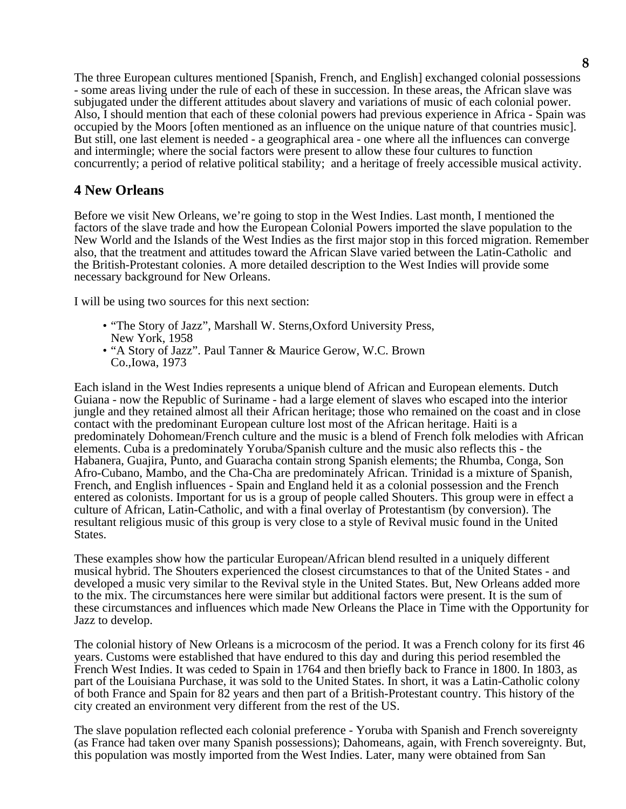The three European cultures mentioned [Spanish, French, and English] exchanged colonial possessions - some areas living under the rule of each of these in succession. In these areas, the African slave was subjugated under the different attitudes about slavery and variations of music of each colonial power. Also, I should mention that each of these colonial powers had previous experience in Africa - Spain was occupied by the Moors [often mentioned as an influence on the unique nature of that countries music]. But still, one last element is needed - a geographical area - one where all the influences can converge and intermingle; where the social factors were present to allow these four cultures to function concurrently; a period of relative political stability; and a heritage of freely accessible musical activity.

# **4 New Orleans**

Before we visit New Orleans, we're going to stop in the West Indies. Last month, I mentioned the factors of the slave trade and how the European Colonial Powers imported the slave population to the New World and the Islands of the West Indies as the first major stop in this forced migration. Remember also, that the treatment and attitudes toward the African Slave varied between the Latin-Catholic and the British-Protestant colonies. A more detailed description to the West Indies will provide some necessary background for New Orleans.

I will be using two sources for this next section:

- "The Story of Jazz", Marshall W. Sterns,Oxford University Press, New York, 1958
- "A Story of Jazz". Paul Tanner & Maurice Gerow, W.C. Brown Co.,Iowa, 1973

Each island in the West Indies represents a unique blend of African and European elements. Dutch Guiana - now the Republic of Suriname - had a large element of slaves who escaped into the interior jungle and they retained almost all their African heritage; those who remained on the coast and in close contact with the predominant European culture lost most of the African heritage. Haiti is a predominately Dohomean/French culture and the music is a blend of French folk melodies with African elements. Cuba is a predominately Yoruba/Spanish culture and the music also reflects this - the Habanera, Guajira, Punto, and Guaracha contain strong Spanish elements; the Rhumba, Conga, Son Afro-Cubano, Mambo, and the Cha-Cha are predominately African. Trinidad is a mixture of Spanish, French, and English influences - Spain and England held it as a colonial possession and the French entered as colonists. Important for us is a group of people called Shouters. This group were in effect a culture of African, Latin-Catholic, and with a final overlay of Protestantism (by conversion). The resultant religious music of this group is very close to a style of Revival music found in the United States.

These examples show how the particular European/African blend resulted in a uniquely different musical hybrid. The Shouters experienced the closest circumstances to that of the United States - and developed a music very similar to the Revival style in the United States. But, New Orleans added more to the mix. The circumstances here were similar but additional factors were present. It is the sum of these circumstances and influences which made New Orleans the Place in Time with the Opportunity for Jazz to develop.

The colonial history of New Orleans is a microcosm of the period. It was a French colony for its first 46 years. Customs were established that have endured to this day and during this period resembled the French West Indies. It was ceded to Spain in 1764 and then briefly back to France in 1800. In 1803, as part of the Louisiana Purchase, it was sold to the United States. In short, it was a Latin-Catholic colony of both France and Spain for 82 years and then part of a British-Protestant country. This history of the city created an environment very different from the rest of the US.

The slave population reflected each colonial preference - Yoruba with Spanish and French sovereignty (as France had taken over many Spanish possessions); Dahomeans, again, with French sovereignty. But, this population was mostly imported from the West Indies. Later, many were obtained from San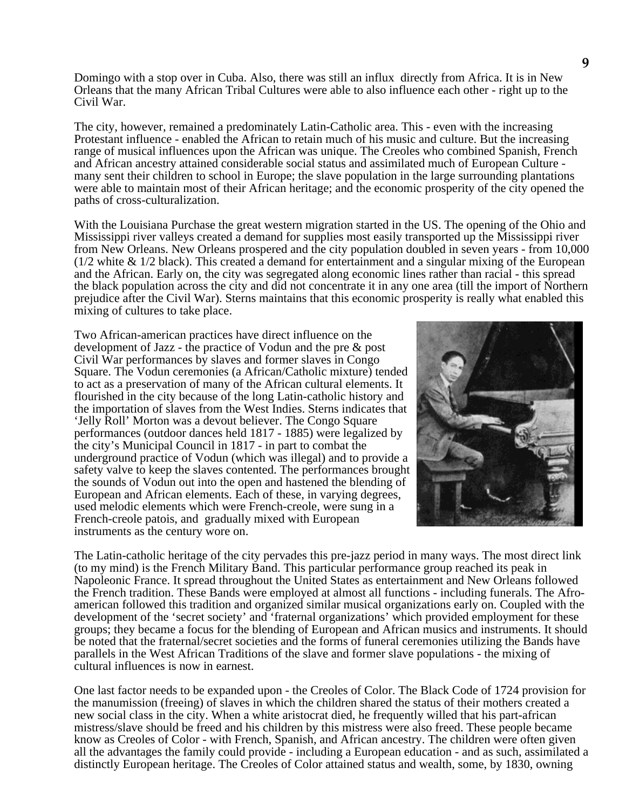Domingo with a stop over in Cuba. Also, there was still an influx directly from Africa. It is in New Orleans that the many African Tribal Cultures were able to also influence each other - right up to the Civil War.

The city, however, remained a predominately Latin-Catholic area. This - even with the increasing Protestant influence - enabled the African to retain much of his music and culture. But the increasing range of musical influences upon the African was unique. The Creoles who combined Spanish, French and African ancestry attained considerable social status and assimilated much of European Culture many sent their children to school in Europe; the slave population in the large surrounding plantations were able to maintain most of their African heritage; and the economic prosperity of the city opened the paths of cross-culturalization.

With the Louisiana Purchase the great western migration started in the US. The opening of the Ohio and Mississippi river valleys created a demand for supplies most easily transported up the Mississippi river from New Orleans. New Orleans prospered and the city population doubled in seven years - from 10,000  $(1/2$  white &  $1/2$  black). This created a demand for entertainment and a singular mixing of the European and the African. Early on, the city was segregated along economic lines rather than racial - this spread the black population across the city and did not concentrate it in any one area (till the import of Northern prejudice after the Civil War). Sterns maintains that this economic prosperity is really what enabled this mixing of cultures to take place.

Two African-american practices have direct influence on the development of Jazz - the practice of Vodun and the pre & post Civil War performances by slaves and former slaves in Congo Square. The Vodun ceremonies (a African/Catholic mixture) tended to act as a preservation of many of the African cultural elements. It flourished in the city because of the long Latin-catholic history and the importation of slaves from the West Indies. Sterns indicates that 'Jelly Roll' Morton was a devout believer. The Congo Square performances (outdoor dances held 1817 - 1885) were legalized by the city's Municipal Council in 1817 - in part to combat the underground practice of Vodun (which was illegal) and to provide a safety valve to keep the slaves contented. The performances brought the sounds of Vodun out into the open and hastened the blending of European and African elements. Each of these, in varying degrees, used melodic elements which were French-creole, were sung in a French-creole patois, and gradually mixed with European instruments as the century wore on.



The Latin-catholic heritage of the city pervades this pre-jazz period in many ways. The most direct link (to my mind) is the French Military Band. This particular performance group reached its peak in Napoleonic France. It spread throughout the United States as entertainment and New Orleans followed the French tradition. These Bands were employed at almost all functions - including funerals. The Afroamerican followed this tradition and organized similar musical organizations early on. Coupled with the development of the 'secret society' and 'fraternal organizations' which provided employment for these groups; they became a focus for the blending of European and African musics and instruments. It should be noted that the fraternal/secret societies and the forms of funeral ceremonies utilizing the Bands have parallels in the West African Traditions of the slave and former slave populations - the mixing of cultural influences is now in earnest.

One last factor needs to be expanded upon - the Creoles of Color. The Black Code of 1724 provision for the manumission (freeing) of slaves in which the children shared the status of their mothers created a new social class in the city. When a white aristocrat died, he frequently willed that his part-african mistress/slave should be freed and his children by this mistress were also freed. These people became know as Creoles of Color - with French, Spanish, and African ancestry. The children were often given all the advantages the family could provide - including a European education - and as such, assimilated a distinctly European heritage. The Creoles of Color attained status and wealth, some, by 1830, owning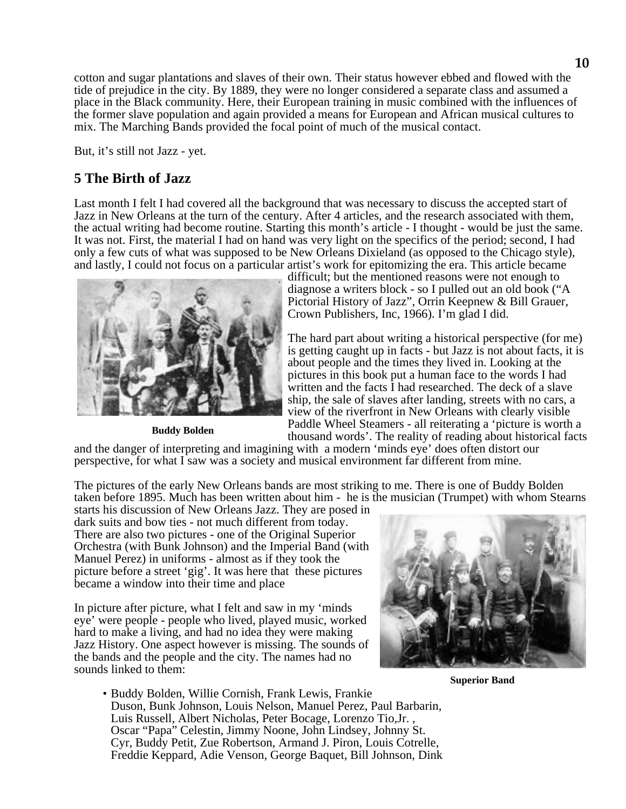cotton and sugar plantations and slaves of their own. Their status however ebbed and flowed with the tide of prejudice in the city. By 1889, they were no longer considered a separate class and assumed a place in the Black community. Here, their European training in music combined with the influences of the former slave population and again provided a means for European and African musical cultures to mix. The Marching Bands provided the focal point of much of the musical contact.

But, it's still not Jazz - yet.

## **5 The Birth of Jazz**

Last month I felt I had covered all the background that was necessary to discuss the accepted start of Jazz in New Orleans at the turn of the century. After 4 articles, and the research associated with them, the actual writing had become routine. Starting this month's article - I thought - would be just the same. It was not. First, the material I had on hand was very light on the specifics of the period; second, I had only a few cuts of what was supposed to be New Orleans Dixieland (as opposed to the Chicago style), and lastly, I could not focus on a particular artist's work for epitomizing the era. This article became



**Buddy Bolden**

difficult; but the mentioned reasons were not enough to diagnose a writers block - so I pulled out an old book ("A Pictorial History of Jazz", Orrin Keepnew & Bill Grauer, Crown Publishers, Inc, 1966). I'm glad I did.

The hard part about writing a historical perspective (for me) is getting caught up in facts - but Jazz is not about facts, it is about people and the times they lived in. Looking at the pictures in this book put a human face to the words I had written and the facts I had researched. The deck of a slave ship, the sale of slaves after landing, streets with no cars, a view of the riverfront in New Orleans with clearly visible Paddle Wheel Steamers - all reiterating a 'picture is worth a thousand words'. The reality of reading about historical facts

and the danger of interpreting and imagining with a modern 'minds eye' does often distort our perspective, for what I saw was a society and musical environment far different from mine.

The pictures of the early New Orleans bands are most striking to me. There is one of Buddy Bolden taken before 1895. Much has been written about him - he is the musician (Trumpet) with whom Stearns

starts his discussion of New Orleans Jazz. They are posed in dark suits and bow ties - not much different from today. There are also two pictures - one of the Original Superior Orchestra (with Bunk Johnson) and the Imperial Band (with Manuel Perez) in uniforms - almost as if they took the picture before a street 'gig'. It was here that these pictures became a window into their time and place

In picture after picture, what I felt and saw in my 'minds eye' were people - people who lived, played music, worked hard to make a living, and had no idea they were making Jazz History. One aspect however is missing. The sounds of the bands and the people and the city. The names had no sounds linked to them:



**Superior Band**

• Buddy Bolden, Willie Cornish, Frank Lewis, Frankie Duson, Bunk Johnson, Louis Nelson, Manuel Perez, Paul Barbarin, Luis Russell, Albert Nicholas, Peter Bocage, Lorenzo Tio,Jr. , Oscar "Papa" Celestin, Jimmy Noone, John Lindsey, Johnny St. Cyr, Buddy Petit, Zue Robertson, Armand J. Piron, Louis Cotrelle, Freddie Keppard, Adie Venson, George Baquet, Bill Johnson, Dink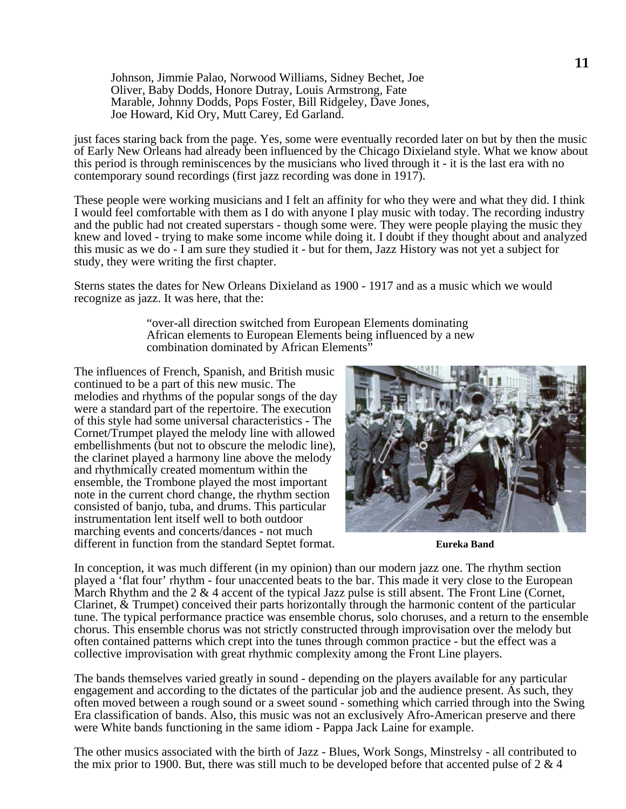Johnson, Jimmie Palao, Norwood Williams, Sidney Bechet, Joe Oliver, Baby Dodds, Honore Dutray, Louis Armstrong, Fate Marable, Johnny Dodds, Pops Foster, Bill Ridgeley, Dave Jones, Joe Howard, Kid Ory, Mutt Carey, Ed Garland.

just faces staring back from the page. Yes, some were eventually recorded later on but by then the music of Early New Orleans had already been influenced by the Chicago Dixieland style. What we know about this period is through reminiscences by the musicians who lived through it - it is the last era with no contemporary sound recordings (first jazz recording was done in 1917).

These people were working musicians and I felt an affinity for who they were and what they did. I think I would feel comfortable with them as I do with anyone I play music with today. The recording industry and the public had not created superstars - though some were. They were people playing the music they knew and loved - trying to make some income while doing it. I doubt if they thought about and analyzed this music as we do - I am sure they studied it - but for them, Jazz History was not yet a subject for study, they were writing the first chapter.

Sterns states the dates for New Orleans Dixieland as 1900 - 1917 and as a music which we would recognize as jazz. It was here, that the:

> "over-all direction switched from European Elements dominating African elements to European Elements being influenced by a new combination dominated by African Elements"

The influences of French, Spanish, and British music continued to be a part of this new music. The melodies and rhythms of the popular songs of the day were a standard part of the repertoire. The execution of this style had some universal characteristics - The Cornet/Trumpet played the melody line with allowed embellishments (but not to obscure the melodic line), the clarinet played a harmony line above the melody and rhythmically created momentum within the ensemble, the Trombone played the most important note in the current chord change, the rhythm section consisted of banjo, tuba, and drums. This particular instrumentation lent itself well to both outdoor marching events and concerts/dances - not much different in function from the standard Septet format.



**Eureka Band**

In conception, it was much different (in my opinion) than our modern jazz one. The rhythm section played a 'flat four' rhythm - four unaccented beats to the bar. This made it very close to the European March Rhythm and the  $2 \& 4$  accent of the typical Jazz pulse is still absent. The Front Line (Cornet, Clarinet, & Trumpet) conceived their parts horizontally through the harmonic content of the particular tune. The typical performance practice was ensemble chorus, solo choruses, and a return to the ensemble chorus. This ensemble chorus was not strictly constructed through improvisation over the melody but often contained patterns which crept into the tunes through common practice - but the effect was a collective improvisation with great rhythmic complexity among the Front Line players.

The bands themselves varied greatly in sound - depending on the players available for any particular engagement and according to the dictates of the particular job and the audience present. As such, they often moved between a rough sound or a sweet sound - something which carried through into the Swing Era classification of bands. Also, this music was not an exclusively Afro-American preserve and there were White bands functioning in the same idiom - Pappa Jack Laine for example.

The other musics associated with the birth of Jazz - Blues, Work Songs, Minstrelsy - all contributed to the mix prior to 1900. But, there was still much to be developed before that accented pulse of  $2 \& 4$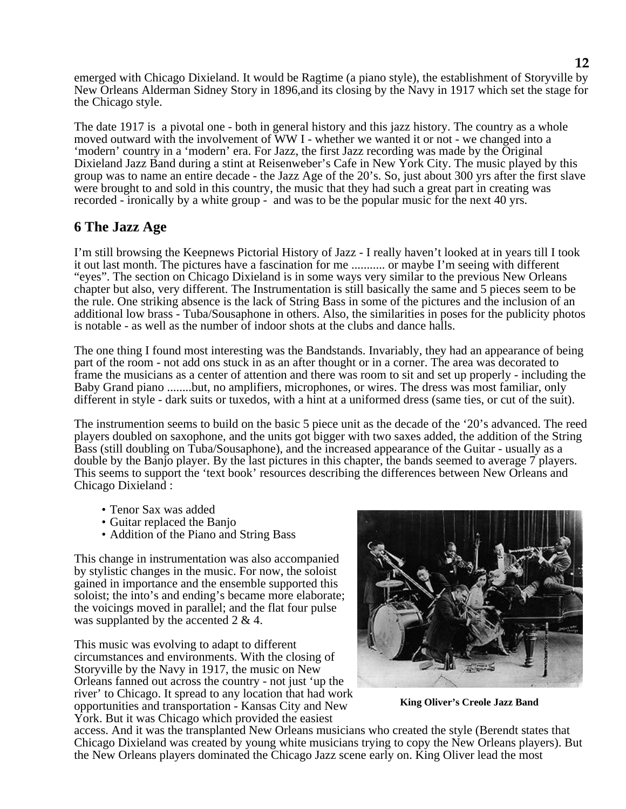emerged with Chicago Dixieland. It would be Ragtime (a piano style), the establishment of Storyville by New Orleans Alderman Sidney Story in 1896,and its closing by the Navy in 1917 which set the stage for the Chicago style.

The date 1917 is a pivotal one - both in general history and this jazz history. The country as a whole moved outward with the involvement of WW I - whether we wanted it or not - we changed into a 'modern' country in a 'modern' era. For Jazz, the first Jazz recording was made by the Original Dixieland Jazz Band during a stint at Reisenweber's Cafe in New York City. The music played by this group was to name an entire decade - the Jazz Age of the 20's. So, just about 300 yrs after the first slave were brought to and sold in this country, the music that they had such a great part in creating was recorded - ironically by a white group - and was to be the popular music for the next 40 yrs.

## **6 The Jazz Age**

I'm still browsing the Keepnews Pictorial History of Jazz - I really haven't looked at in years till I took it out last month. The pictures have a fascination for me ........... or maybe I'm seeing with different "eyes". The section on Chicago Dixieland is in some ways very similar to the previous New Orleans chapter but also, very different. The Instrumentation is still basically the same and 5 pieces seem to be the rule. One striking absence is the lack of String Bass in some of the pictures and the inclusion of an additional low brass - Tuba/Sousaphone in others. Also, the similarities in poses for the publicity photos is notable - as well as the number of indoor shots at the clubs and dance halls.

The one thing I found most interesting was the Bandstands. Invariably, they had an appearance of being part of the room - not add ons stuck in as an after thought or in a corner. The area was decorated to frame the musicians as a center of attention and there was room to sit and set up properly - including the Baby Grand piano ........but, no amplifiers, microphones, or wires. The dress was most familiar, only different in style - dark suits or tuxedos, with a hint at a uniformed dress (same ties, or cut of the suit).

The instrumention seems to build on the basic 5 piece unit as the decade of the '20's advanced. The reed players doubled on saxophone, and the units got bigger with two saxes added, the addition of the String Bass (still doubling on Tuba/Sousaphone), and the increased appearance of the Guitar - usually as a double by the Banjo player. By the last pictures in this chapter, the bands seemed to average 7 players. This seems to support the 'text book' resources describing the differences between New Orleans and Chicago Dixieland :

- Tenor Sax was added
- Guitar replaced the Banjo
- Addition of the Piano and String Bass

This change in instrumentation was also accompanied by stylistic changes in the music. For now, the soloist gained in importance and the ensemble supported this soloist; the into's and ending's became more elaborate; the voicings moved in parallel; and the flat four pulse was supplanted by the accented 2 & 4.

This music was evolving to adapt to different circumstances and environments. With the closing of Storyville by the Navy in 1917, the music on New Orleans fanned out across the country - not just 'up the river' to Chicago. It spread to any location that had work opportunities and transportation - Kansas City and New York. But it was Chicago which provided the easiest



**King Oliver's Creole Jazz Band**

access. And it was the transplanted New Orleans musicians who created the style (Berendt states that Chicago Dixieland was created by young white musicians trying to copy the New Orleans players). But the New Orleans players dominated the Chicago Jazz scene early on. King Oliver lead the most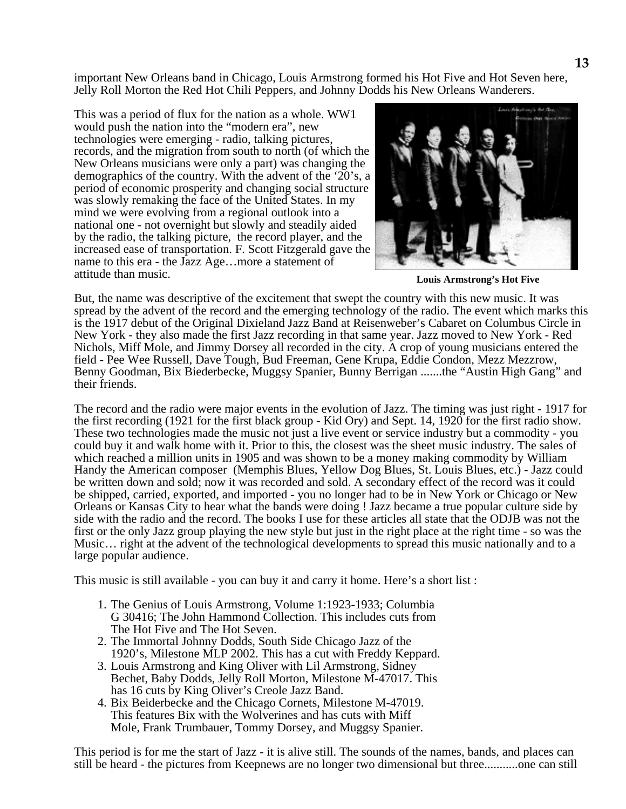important New Orleans band in Chicago, Louis Armstrong formed his Hot Five and Hot Seven here, Jelly Roll Morton the Red Hot Chili Peppers, and Johnny Dodds his New Orleans Wanderers.

This was a period of flux for the nation as a whole. WW1 would push the nation into the "modern era", new technologies were emerging - radio, talking pictures, records, and the migration from south to north (of which the New Orleans musicians were only a part) was changing the demographics of the country. With the advent of the '20's, a period of economic prosperity and changing social structure was slowly remaking the face of the United States. In my mind we were evolving from a regional outlook into a national one - not overnight but slowly and steadily aided by the radio, the talking picture, the record player, and the increased ease of transportation. F. Scott Fitzgerald gave the name to this era - the Jazz Age…more a statement of attitude than music.



**Louis Armstrong's Hot Five**

But, the name was descriptive of the excitement that swept the country with this new music. It was spread by the advent of the record and the emerging technology of the radio. The event which marks this is the 1917 debut of the Original Dixieland Jazz Band at Reisenweber's Cabaret on Columbus Circle in New York - they also made the first Jazz recording in that same year. Jazz moved to New York - Red Nichols, Miff Mole, and Jimmy Dorsey all recorded in the city. A crop of young musicians entered the field - Pee Wee Russell, Dave Tough, Bud Freeman, Gene Krupa, Eddie Condon, Mezz Mezzrow, Benny Goodman, Bix Biederbecke, Muggsy Spanier, Bunny Berrigan .......the "Austin High Gang" and their friends.

The record and the radio were major events in the evolution of Jazz. The timing was just right - 1917 for the first recording (1921 for the first black group - Kid Ory) and Sept. 14, 1920 for the first radio show. These two technologies made the music not just a live event or service industry but a commodity - you could buy it and walk home with it. Prior to this, the closest was the sheet music industry. The sales of which reached a million units in 1905 and was shown to be a money making commodity by William Handy the American composer (Memphis Blues, Yellow Dog Blues, St. Louis Blues, etc.) - Jazz could be written down and sold; now it was recorded and sold. A secondary effect of the record was it could be shipped, carried, exported, and imported - you no longer had to be in New York or Chicago or New Orleans or Kansas City to hear what the bands were doing ! Jazz became a true popular culture side by side with the radio and the record. The books I use for these articles all state that the ODJB was not the first or the only Jazz group playing the new style but just in the right place at the right time - so was the Music… right at the advent of the technological developments to spread this music nationally and to a large popular audience.

This music is still available - you can buy it and carry it home. Here's a short list :

- 1. The Genius of Louis Armstrong, Volume 1:1923-1933; Columbia G 30416; The John Hammond Collection. This includes cuts from The Hot Five and The Hot Seven.
- 2. The Immortal Johnny Dodds, South Side Chicago Jazz of the 1920's, Milestone MLP 2002. This has a cut with Freddy Keppard.
- 3. Louis Armstrong and King Oliver with Lil Armstrong, Sidney Bechet, Baby Dodds, Jelly Roll Morton, Milestone M-47017. This has 16 cuts by King Oliver's Creole Jazz Band.
- 4. Bix Beiderbecke and the Chicago Cornets, Milestone M-47019. This features Bix with the Wolverines and has cuts with Miff Mole, Frank Trumbauer, Tommy Dorsey, and Muggsy Spanier.

This period is for me the start of Jazz - it is alive still. The sounds of the names, bands, and places can still be heard - the pictures from Keepnews are no longer two dimensional but three...........one can still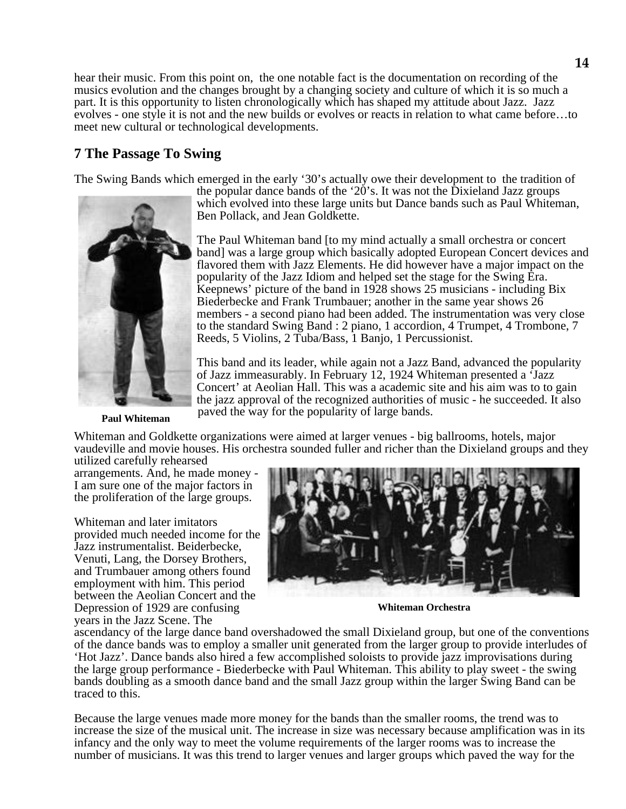hear their music. From this point on, the one notable fact is the documentation on recording of the musics evolution and the changes brought by a changing society and culture of which it is so much a part. It is this opportunity to listen chronologically which has shaped my attitude about Jazz. Jazz evolves - one style it is not and the new builds or evolves or reacts in relation to what came before…to meet new cultural or technological developments.

# **7 The Passage To Swing**

The Swing Bands which emerged in the early '30's actually owe their development to the tradition of



**Paul Whiteman**

the popular dance bands of the '20's. It was not the Dixieland Jazz groups which evolved into these large units but Dance bands such as Paul Whiteman, Ben Pollack, and Jean Goldkette.

The Paul Whiteman band [to my mind actually a small orchestra or concert band] was a large group which basically adopted European Concert devices and flavored them with Jazz Elements. He did however have a major impact on the popularity of the Jazz Idiom and helped set the stage for the Swing Era. Keepnews' picture of the band in 1928 shows 25 musicians - including Bix Biederbecke and Frank Trumbauer; another in the same year shows 26 members - a second piano had been added. The instrumentation was very close to the standard Swing Band : 2 piano, 1 accordion, 4 Trumpet, 4 Trombone, 7 Reeds, 5 Violins, 2 Tuba/Bass, 1 Banjo, 1 Percussionist.

This band and its leader, while again not a Jazz Band, advanced the popularity of Jazz immeasurably. In February 12, 1924 Whiteman presented a 'Jazz Concert' at Aeolian Hall. This was a academic site and his aim was to to gain the jazz approval of the recognized authorities of music - he succeeded. It also paved the way for the popularity of large bands.

Whiteman and Goldkette organizations were aimed at larger venues - big ballrooms, hotels, major vaudeville and movie houses. His orchestra sounded fuller and richer than the Dixieland groups and they utilized carefully rehearsed

arrangements. And, he made money - I am sure one of the major factors in the proliferation of the large groups.

Whiteman and later imitators provided much needed income for the Jazz instrumentalist. Beiderbecke, Venuti, Lang, the Dorsey Brothers, and Trumbauer among others found employment with him. This period between the Aeolian Concert and the Depression of 1929 are confusing years in the Jazz Scene. The



**Whiteman Orchestra**

ascendancy of the large dance band overshadowed the small Dixieland group, but one of the conventions of the dance bands was to employ a smaller unit generated from the larger group to provide interludes of 'Hot Jazz'. Dance bands also hired a few accomplished soloists to provide jazz improvisations during the large group performance - Biederbecke with Paul Whiteman. This ability to play sweet - the swing bands doubling as a smooth dance band and the small Jazz group within the larger Swing Band can be traced to this.

Because the large venues made more money for the bands than the smaller rooms, the trend was to increase the size of the musical unit. The increase in size was necessary because amplification was in its infancy and the only way to meet the volume requirements of the larger rooms was to increase the number of musicians. It was this trend to larger venues and larger groups which paved the way for the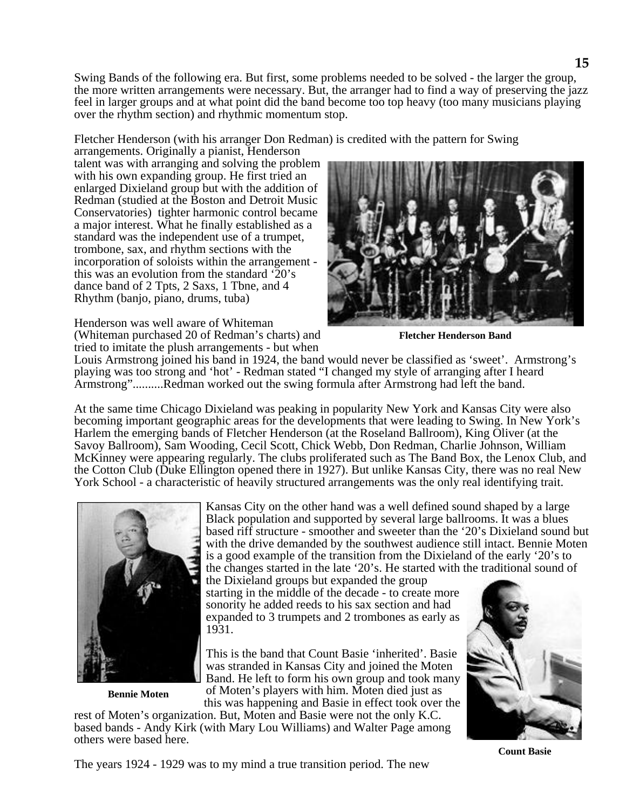Swing Bands of the following era. But first, some problems needed to be solved - the larger the group, the more written arrangements were necessary. But, the arranger had to find a way of preserving the jazz feel in larger groups and at what point did the band become too top heavy (too many musicians playing over the rhythm section) and rhythmic momentum stop.

Fletcher Henderson (with his arranger Don Redman) is credited with the pattern for Swing

arrangements. Originally a pianist, Henderson talent was with arranging and solving the problem with his own expanding group. He first tried an enlarged Dixieland group but with the addition of Redman (studied at the Boston and Detroit Music Conservatories) tighter harmonic control became a major interest. What he finally established as a standard was the independent use of a trumpet, trombone, sax, and rhythm sections with the incorporation of soloists within the arrangement this was an evolution from the standard '20's dance band of 2 Tpts, 2 Saxs, 1 Tbne, and 4 Rhythm (banjo, piano, drums, tuba)

Henderson was well aware of Whiteman (Whiteman purchased 20 of Redman's charts) and tried to imitate the plush arrangements - but when



**Fletcher Henderson Band**

Louis Armstrong joined his band in 1924, the band would never be classified as 'sweet'. Armstrong's playing was too strong and 'hot' - Redman stated "I changed my style of arranging after I heard Armstrong"..........Redman worked out the swing formula after Armstrong had left the band.

At the same time Chicago Dixieland was peaking in popularity New York and Kansas City were also becoming important geographic areas for the developments that were leading to Swing. In New York's Harlem the emerging bands of Fletcher Henderson (at the Roseland Ballroom), King Oliver (at the Savoy Ballroom), Sam Wooding, Cecil Scott, Chick Webb, Don Redman, Charlie Johnson, William McKinney were appearing regularly. The clubs proliferated such as The Band Box, the Lenox Club, and the Cotton Club (Duke Ellington opened there in 1927). But unlike Kansas City, there was no real New York School - a characteristic of heavily structured arrangements was the only real identifying trait.



**Bennie Moten**

Kansas City on the other hand was a well defined sound shaped by a large Black population and supported by several large ballrooms. It was a blues based riff structure - smoother and sweeter than the '20's Dixieland sound but with the drive demanded by the southwest audience still intact. Bennie Moten is a good example of the transition from the Dixieland of the early '20's to the changes started in the late '20's. He started with the traditional sound of

the Dixieland groups but expanded the group starting in the middle of the decade - to create more sonority he added reeds to his sax section and had expanded to 3 trumpets and 2 trombones as early as 1931.

This is the band that Count Basie 'inherited'. Basie was stranded in Kansas City and joined the Moten Band. He left to form his own group and took many of Moten's players with him. Moten died just as this was happening and Basie in effect took over the

rest of Moten's organization. But, Moten and Basie were not the only K.C. based bands - Andy Kirk (with Mary Lou Williams) and Walter Page among others were based here.



**Count Basie**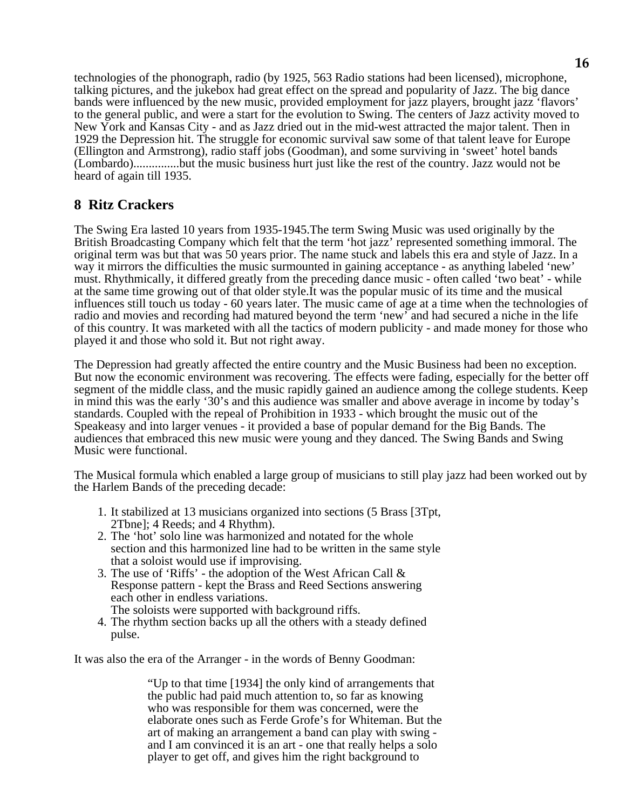technologies of the phonograph, radio (by 1925, 563 Radio stations had been licensed), microphone, talking pictures, and the jukebox had great effect on the spread and popularity of Jazz. The big dance bands were influenced by the new music, provided employment for jazz players, brought jazz 'flavors' to the general public, and were a start for the evolution to Swing. The centers of Jazz activity moved to New York and Kansas City - and as Jazz dried out in the mid-west attracted the major talent. Then in 1929 the Depression hit. The struggle for economic survival saw some of that talent leave for Europe (Ellington and Armstrong), radio staff jobs (Goodman), and some surviving in 'sweet' hotel bands (Lombardo)...............but the music business hurt just like the rest of the country. Jazz would not be heard of again till 1935.

# **8 Ritz Crackers**

The Swing Era lasted 10 years from 1935-1945.The term Swing Music was used originally by the British Broadcasting Company which felt that the term 'hot jazz' represented something immoral. The original term was but that was 50 years prior. The name stuck and labels this era and style of Jazz. In a way it mirrors the difficulties the music surmounted in gaining acceptance - as anything labeled 'new' must. Rhythmically, it differed greatly from the preceding dance music - often called 'two beat' - while at the same time growing out of that older style.It was the popular music of its time and the musical influences still touch us today - 60 years later. The music came of age at a time when the technologies of radio and movies and recording had matured beyond the term 'new' and had secured a niche in the life of this country. It was marketed with all the tactics of modern publicity - and made money for those who played it and those who sold it. But not right away.

The Depression had greatly affected the entire country and the Music Business had been no exception. But now the economic environment was recovering. The effects were fading, especially for the better off segment of the middle class, and the music rapidly gained an audience among the college students. Keep in mind this was the early '30's and this audience was smaller and above average in income by today's standards. Coupled with the repeal of Prohibition in 1933 - which brought the music out of the Speakeasy and into larger venues - it provided a base of popular demand for the Big Bands. The audiences that embraced this new music were young and they danced. The Swing Bands and Swing Music were functional.

The Musical formula which enabled a large group of musicians to still play jazz had been worked out by the Harlem Bands of the preceding decade:

- 1. It stabilized at 13 musicians organized into sections (5 Brass [3Tpt, 2Tbne]; 4 Reeds; and 4 Rhythm).
- 2. The 'hot' solo line was harmonized and notated for the whole section and this harmonized line had to be written in the same style that a soloist would use if improvising.
- 3. The use of 'Riffs' the adoption of the West African Call  $\&$ Response pattern - kept the Brass and Reed Sections answering each other in endless variations. The soloists were supported with background riffs.
- 4. The rhythm section backs up all the others with a steady defined pulse.

It was also the era of the Arranger - in the words of Benny Goodman:

"Up to that time [1934] the only kind of arrangements that the public had paid much attention to, so far as knowing who was responsible for them was concerned, were the elaborate ones such as Ferde Grofe's for Whiteman. But the art of making an arrangement a band can play with swing and I am convinced it is an art - one that really helps a solo player to get off, and gives him the right background to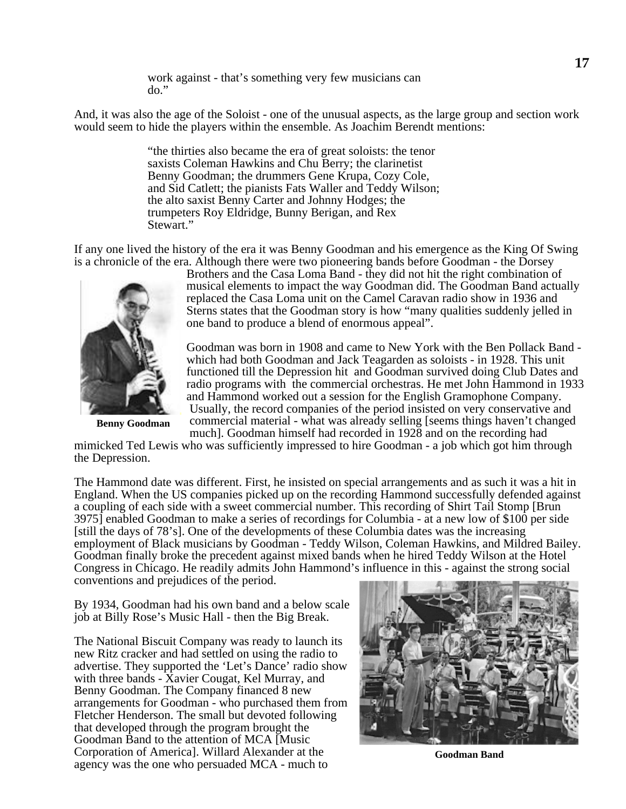work against - that's something very few musicians can do."

And, it was also the age of the Soloist - one of the unusual aspects, as the large group and section work would seem to hide the players within the ensemble. As Joachim Berendt mentions:

> "the thirties also became the era of great soloists: the tenor saxists Coleman Hawkins and Chu Berry; the clarinetist Benny Goodman; the drummers Gene Krupa, Cozy Cole, and Sid Catlett; the pianists Fats Waller and Teddy Wilson; the alto saxist Benny Carter and Johnny Hodges; the trumpeters Roy Eldridge, Bunny Berigan, and Rex Stewart."

If any one lived the history of the era it was Benny Goodman and his emergence as the King Of Swing is a chronicle of the era. Although there were two pioneering bands before Goodman - the Dorsey



**Benny Goodman**

Brothers and the Casa Loma Band - they did not hit the right combination of musical elements to impact the way Goodman did. The Goodman Band actually replaced the Casa Loma unit on the Camel Caravan radio show in 1936 and Sterns states that the Goodman story is how "many qualities suddenly jelled in one band to produce a blend of enormous appeal".

Goodman was born in 1908 and came to New York with the Ben Pollack Band which had both Goodman and Jack Teagarden as soloists - in 1928. This unit functioned till the Depression hit and Goodman survived doing Club Dates and radio programs with the commercial orchestras. He met John Hammond in 1933 and Hammond worked out a session for the English Gramophone Company. Usually, the record companies of the period insisted on very conservative and commercial material - what was already selling [seems things haven't changed much]. Goodman himself had recorded in 1928 and on the recording had

mimicked Ted Lewis who was sufficiently impressed to hire Goodman - a job which got him through the Depression.

The Hammond date was different. First, he insisted on special arrangements and as such it was a hit in England. When the US companies picked up on the recording Hammond successfully defended against a coupling of each side with a sweet commercial number. This recording of Shirt Tail Stomp [Brun 3975] enabled Goodman to make a series of recordings for Columbia - at a new low of \$100 per side [still the days of 78's]. One of the developments of these Columbia dates was the increasing employment of Black musicians by Goodman - Teddy Wilson, Coleman Hawkins, and Mildred Bailey. Goodman finally broke the precedent against mixed bands when he hired Teddy Wilson at the Hotel Congress in Chicago. He readily admits John Hammond's influence in this - against the strong social conventions and prejudices of the period.

By 1934, Goodman had his own band and a below scale job at Billy Rose's Music Hall - then the Big Break.

The National Biscuit Company was ready to launch its new Ritz cracker and had settled on using the radio to advertise. They supported the 'Let's Dance' radio show with three bands - Xavier Cougat, Kel Murray, and Benny Goodman. The Company financed 8 new arrangements for Goodman - who purchased them from Fletcher Henderson. The small but devoted following that developed through the program brought the Goodman Band to the attention of MCA [Music Corporation of America]. Willard Alexander at the agency was the one who persuaded MCA - much to



**Goodman Band**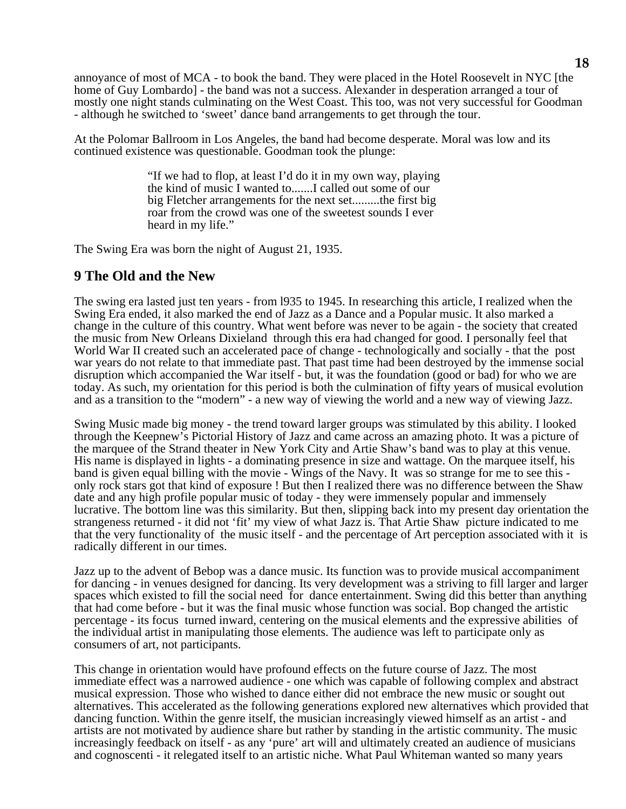annoyance of most of MCA - to book the band. They were placed in the Hotel Roosevelt in NYC [the home of Guy Lombardo] - the band was not a success. Alexander in desperation arranged a tour of mostly one night stands culminating on the West Coast. This too, was not very successful for Goodman - although he switched to 'sweet' dance band arrangements to get through the tour.

At the Polomar Ballroom in Los Angeles, the band had become desperate. Moral was low and its continued existence was questionable. Goodman took the plunge:

> "If we had to flop, at least I'd do it in my own way, playing the kind of music I wanted to.......I called out some of our big Fletcher arrangements for the next set.........the first big roar from the crowd was one of the sweetest sounds I ever heard in my life."

The Swing Era was born the night of August 21, 1935.

## **9 The Old and the New**

The swing era lasted just ten years - from l935 to 1945. In researching this article, I realized when the Swing Era ended, it also marked the end of Jazz as a Dance and a Popular music. It also marked a change in the culture of this country. What went before was never to be again - the society that created the music from New Orleans Dixieland through this era had changed for good. I personally feel that World War II created such an accelerated pace of change - technologically and socially - that the post war years do not relate to that immediate past. That past time had been destroyed by the immense social disruption which accompanied the War itself - but, it was the foundation (good or bad) for who we are today. As such, my orientation for this period is both the culmination of fifty years of musical evolution and as a transition to the "modern" - a new way of viewing the world and a new way of viewing Jazz.

Swing Music made big money - the trend toward larger groups was stimulated by this ability. I looked through the Keepnew's Pictorial History of Jazz and came across an amazing photo. It was a picture of the marquee of the Strand theater in New York City and Artie Shaw's band was to play at this venue. His name is displayed in lights - a dominating presence in size and wattage. On the marquee itself, his band is given equal billing with the movie - Wings of the Navy. It was so strange for me to see this only rock stars got that kind of exposure ! But then I realized there was no difference between the Shaw date and any high profile popular music of today - they were immensely popular and immensely lucrative. The bottom line was this similarity. But then, slipping back into my present day orientation the strangeness returned - it did not 'fit' my view of what Jazz is. That Artie Shaw picture indicated to me that the very functionality of the music itself - and the percentage of Art perception associated with it is radically different in our times.

Jazz up to the advent of Bebop was a dance music. Its function was to provide musical accompaniment for dancing - in venues designed for dancing. Its very development was a striving to fill larger and larger spaces which existed to fill the social need for dance entertainment. Swing did this better than anything that had come before - but it was the final music whose function was social. Bop changed the artistic percentage - its focus turned inward, centering on the musical elements and the expressive abilities of the individual artist in manipulating those elements. The audience was left to participate only as consumers of art, not participants.

This change in orientation would have profound effects on the future course of Jazz. The most immediate effect was a narrowed audience - one which was capable of following complex and abstract musical expression. Those who wished to dance either did not embrace the new music or sought out alternatives. This accelerated as the following generations explored new alternatives which provided that dancing function. Within the genre itself, the musician increasingly viewed himself as an artist - and artists are not motivated by audience share but rather by standing in the artistic community. The music increasingly feedback on itself - as any 'pure' art will and ultimately created an audience of musicians and cognoscenti - it relegated itself to an artistic niche. What Paul Whiteman wanted so many years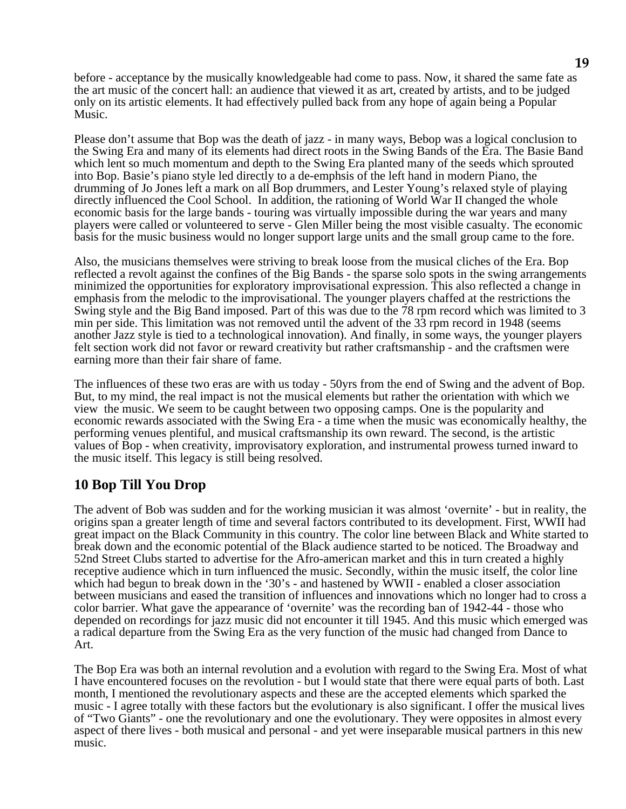before - acceptance by the musically knowledgeable had come to pass. Now, it shared the same fate as the art music of the concert hall: an audience that viewed it as art, created by artists, and to be judged only on its artistic elements. It had effectively pulled back from any hope of again being a Popular Music.

Please don't assume that Bop was the death of jazz - in many ways, Bebop was a logical conclusion to the Swing Era and many of its elements had direct roots in the Swing Bands of the Era. The Basie Band which lent so much momentum and depth to the Swing Era planted many of the seeds which sprouted into Bop. Basie's piano style led directly to a de-emphsis of the left hand in modern Piano, the drumming of Jo Jones left a mark on all Bop drummers, and Lester Young's relaxed style of playing directly influenced the Cool School. In addition, the rationing of World War II changed the whole economic basis for the large bands - touring was virtually impossible during the war years and many players were called or volunteered to serve - Glen Miller being the most visible casualty. The economic basis for the music business would no longer support large units and the small group came to the fore.

Also, the musicians themselves were striving to break loose from the musical cliches of the Era. Bop reflected a revolt against the confines of the Big Bands - the sparse solo spots in the swing arrangements minimized the opportunities for exploratory improvisational expression. This also reflected a change in emphasis from the melodic to the improvisational. The younger players chaffed at the restrictions the Swing style and the Big Band imposed. Part of this was due to the 78 rpm record which was limited to 3 min per side. This limitation was not removed until the advent of the 33 rpm record in 1948 (seems another Jazz style is tied to a technological innovation). And finally, in some ways, the younger players felt section work did not favor or reward creativity but rather craftsmanship - and the craftsmen were earning more than their fair share of fame.

The influences of these two eras are with us today - 50yrs from the end of Swing and the advent of Bop. But, to my mind, the real impact is not the musical elements but rather the orientation with which we view the music. We seem to be caught between two opposing camps. One is the popularity and economic rewards associated with the Swing Era - a time when the music was economically healthy, the performing venues plentiful, and musical craftsmanship its own reward. The second, is the artistic values of Bop - when creativity, improvisatory exploration, and instrumental prowess turned inward to the music itself. This legacy is still being resolved.

# **10 Bop Till You Drop**

The advent of Bob was sudden and for the working musician it was almost 'overnite' - but in reality, the origins span a greater length of time and several factors contributed to its development. First, WWII had great impact on the Black Community in this country. The color line between Black and White started to break down and the economic potential of the Black audience started to be noticed. The Broadway and 52nd Street Clubs started to advertise for the Afro-american market and this in turn created a highly receptive audience which in turn influenced the music. Secondly, within the music itself, the color line which had begun to break down in the '30's - and hastened by WWII - enabled a closer association between musicians and eased the transition of influences and innovations which no longer had to cross a color barrier. What gave the appearance of 'overnite' was the recording ban of 1942-44 - those who depended on recordings for jazz music did not encounter it till 1945. And this music which emerged was a radical departure from the Swing Era as the very function of the music had changed from Dance to Art.

The Bop Era was both an internal revolution and a evolution with regard to the Swing Era. Most of what I have encountered focuses on the revolution - but I would state that there were equal parts of both. Last month, I mentioned the revolutionary aspects and these are the accepted elements which sparked the music - I agree totally with these factors but the evolutionary is also significant. I offer the musical lives of "Two Giants" - one the revolutionary and one the evolutionary. They were opposites in almost every aspect of there lives - both musical and personal - and yet were inseparable musical partners in this new music.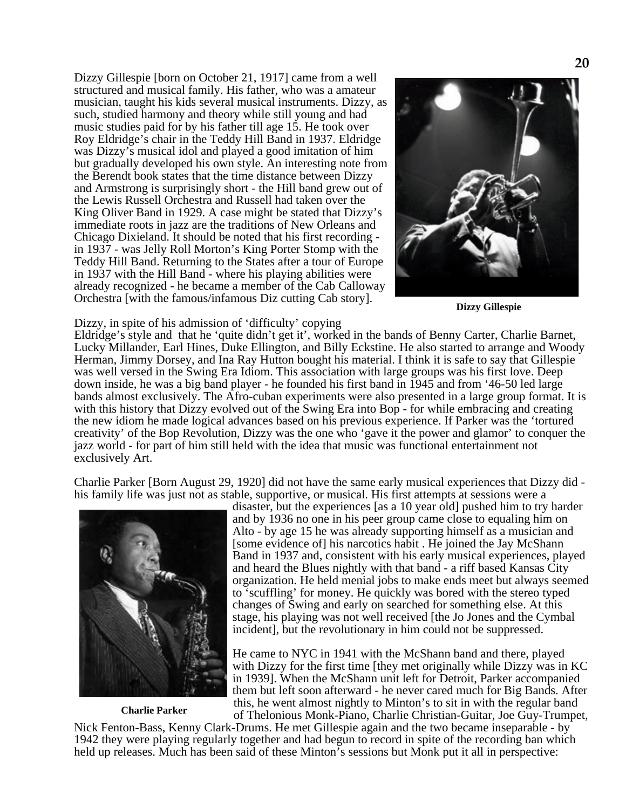Dizzy Gillespie [born on October 21, 1917] came from a well structured and musical family. His father, who was a amateur musician, taught his kids several musical instruments. Dizzy, as such, studied harmony and theory while still young and had music studies paid for by his father till age 15. He took over Roy Eldridge's chair in the Teddy Hill Band in 1937. Eldridge was Dizzy's musical idol and played a good imitation of him but gradually developed his own style. An interesting note from the Berendt book states that the time distance between Dizzy and Armstrong is surprisingly short - the Hill band grew out of the Lewis Russell Orchestra and Russell had taken over the King Oliver Band in 1929. A case might be stated that Dizzy's immediate roots in jazz are the traditions of New Orleans and Chicago Dixieland. It should be noted that his first recording in 1937 - was Jelly Roll Morton's King Porter Stomp with the Teddy Hill Band. Returning to the States after a tour of Europe in 1937 with the Hill Band - where his playing abilities were already recognized - he became a member of the Cab Calloway Orchestra [with the famous/infamous Diz cutting Cab story].



**Dizzy Gillespie**

#### Dizzy, in spite of his admission of 'difficulty' copying

Eldridge's style and that he 'quite didn't get it', worked in the bands of Benny Carter, Charlie Barnet, Lucky Millander, Earl Hines, Duke Ellington, and Billy Eckstine. He also started to arrange and Woody Herman, Jimmy Dorsey, and Ina Ray Hutton bought his material. I think it is safe to say that Gillespie was well versed in the Swing Era Idiom. This association with large groups was his first love. Deep down inside, he was a big band player - he founded his first band in 1945 and from '46-50 led large bands almost exclusively. The Afro-cuban experiments were also presented in a large group format. It is with this history that Dizzy evolved out of the Swing Era into Bop - for while embracing and creating the new idiom he made logical advances based on his previous experience. If Parker was the 'tortured creativity' of the Bop Revolution, Dizzy was the one who 'gave it the power and glamor' to conquer the jazz world - for part of him still held with the idea that music was functional entertainment not exclusively Art.

Charlie Parker [Born August 29, 1920] did not have the same early musical experiences that Dizzy did his family life was just not as stable, supportive, or musical. His first attempts at sessions were a



**Charlie Parker**

disaster, but the experiences [as a 10 year old] pushed him to try harder and by 1936 no one in his peer group came close to equaling him on Alto - by age 15 he was already supporting himself as a musician and [some evidence of] his narcotics habit . He joined the Jay McShann Band in 1937 and, consistent with his early musical experiences, played and heard the Blues nightly with that band - a riff based Kansas City organization. He held menial jobs to make ends meet but always seemed to 'scuffling' for money. He quickly was bored with the stereo typed changes of Swing and early on searched for something else. At this stage, his playing was not well received [the Jo Jones and the Cymbal incident], but the revolutionary in him could not be suppressed.

He came to NYC in 1941 with the McShann band and there, played with Dizzy for the first time [they met originally while Dizzy was in KC in 1939]. When the McShann unit left for Detroit, Parker accompanied them but left soon afterward - he never cared much for Big Bands. After this, he went almost nightly to Minton's to sit in with the regular band of Thelonious Monk-Piano, Charlie Christian-Guitar, Joe Guy-Trumpet,

Nick Fenton-Bass, Kenny Clark-Drums. He met Gillespie again and the two became inseparable - by 1942 they were playing regularly together and had begun to record in spite of the recording ban which held up releases. Much has been said of these Minton's sessions but Monk put it all in perspective: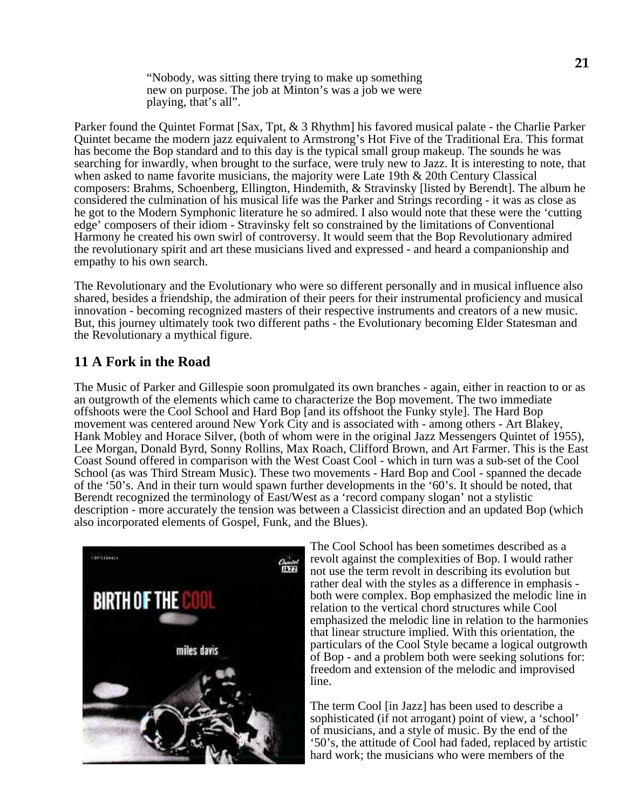"Nobody, was sitting there trying to make up something new on purpose. The job at Minton's was a job we were playing, that's all".

Parker found the Quintet Format [Sax, Tpt, & 3 Rhythm] his favored musical palate - the Charlie Parker Quintet became the modern jazz equivalent to Armstrong's Hot Five of the Traditional Era. This format has become the Bop standard and to this day is the typical small group makeup. The sounds he was searching for inwardly, when brought to the surface, were truly new to Jazz. It is interesting to note, that when asked to name favorite musicians, the majority were Late 19th  $\&$  20th Century Classical composers: Brahms, Schoenberg, Ellington, Hindemith, & Stravinsky [listed by Berendt]. The album he considered the culmination of his musical life was the Parker and Strings recording - it was as close as he got to the Modern Symphonic literature he so admired. I also would note that these were the 'cutting edge' composers of their idiom - Stravinsky felt so constrained by the limitations of Conventional Harmony he created his own swirl of controversy. It would seem that the Bop Revolutionary admired the revolutionary spirit and art these musicians lived and expressed - and heard a companionship and empathy to his own search.

The Revolutionary and the Evolutionary who were so different personally and in musical influence also shared, besides a friendship, the admiration of their peers for their instrumental proficiency and musical innovation - becoming recognized masters of their respective instruments and creators of a new music. But, this journey ultimately took two different paths - the Evolutionary becoming Elder Statesman and the Revolutionary a mythical figure.

# **11 A Fork in the Road**

The Music of Parker and Gillespie soon promulgated its own branches - again, either in reaction to or as an outgrowth of the elements which came to characterize the Bop movement. The two immediate offshoots were the Cool School and Hard Bop [and its offshoot the Funky style]. The Hard Bop movement was centered around New York City and is associated with - among others - Art Blakey, Hank Mobley and Horace Silver, (both of whom were in the original Jazz Messengers Quintet of 1955), Lee Morgan, Donald Byrd, Sonny Rollins, Max Roach, Clifford Brown, and Art Farmer. This is the East Coast Sound offered in comparison with the West Coast Cool - which in turn was a sub-set of the Cool School (as was Third Stream Music). These two movements - Hard Bop and Cool - spanned the decade of the '50's. And in their turn would spawn further developments in the '60's. It should be noted, that Berendt recognized the terminology of East/West as a 'record company slogan' not a stylistic description - more accurately the tension was between a Classicist direction and an updated Bop (which also incorporated elements of Gospel, Funk, and the Blues).



The Cool School has been sometimes described as a revolt against the complexities of Bop. I would rather not use the term revolt in describing its evolution but rather deal with the styles as a difference in emphasis both were complex. Bop emphasized the melodic line in relation to the vertical chord structures while Cool emphasized the melodic line in relation to the harmonies that linear structure implied. With this orientation, the particulars of the Cool Style became a logical outgrowth of Bop - and a problem both were seeking solutions for: freedom and extension of the melodic and improvised line.

The term Cool [in Jazz] has been used to describe a sophisticated (if not arrogant) point of view, a 'school' of musicians, and a style of music. By the end of the '50's, the attitude of Cool had faded, replaced by artistic hard work; the musicians who were members of the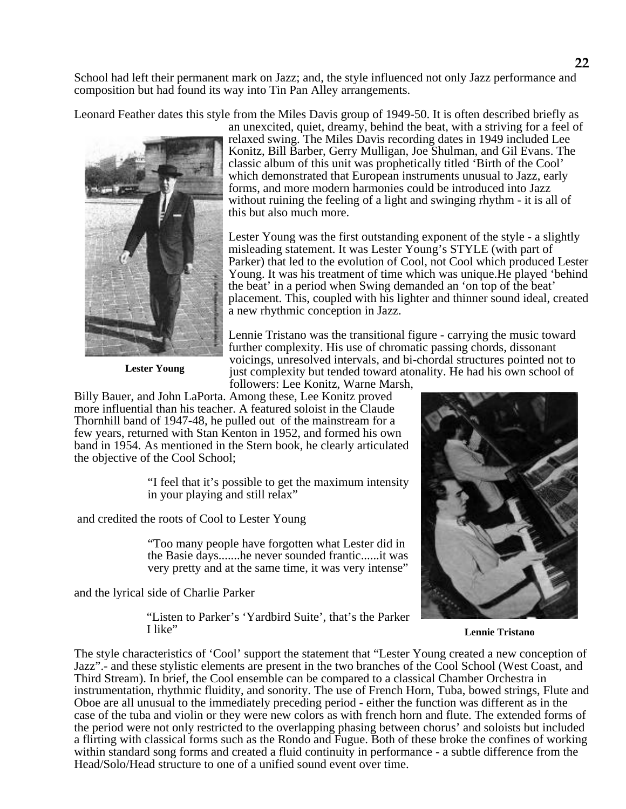School had left their permanent mark on Jazz; and, the style influenced not only Jazz performance and composition but had found its way into Tin Pan Alley arrangements.

Leonard Feather dates this style from the Miles Davis group of 1949-50. It is often described briefly as



an unexcited, quiet, dreamy, behind the beat, with a striving for a feel of relaxed swing. The Miles Davis recording dates in 1949 included Lee Konitz, Bill Barber, Gerry Mulligan, Joe Shulman, and Gil Evans. The classic album of this unit was prophetically titled 'Birth of the Cool' which demonstrated that European instruments unusual to Jazz, early forms, and more modern harmonies could be introduced into Jazz without ruining the feeling of a light and swinging rhythm - it is all of this but also much more.

Lester Young was the first outstanding exponent of the style - a slightly misleading statement. It was Lester Young's STYLE (with part of Parker) that led to the evolution of Cool, not Cool which produced Lester Young. It was his treatment of time which was unique.He played 'behind the beat' in a period when Swing demanded an 'on top of the beat' placement. This, coupled with his lighter and thinner sound ideal, created a new rhythmic conception in Jazz.

**Lester Young**

Lennie Tristano was the transitional figure - carrying the music toward further complexity. His use of chromatic passing chords, dissonant voicings, unresolved intervals, and bi-chordal structures pointed not to just complexity but tended toward atonality. He had his own school of followers: Lee Konitz, Warne Marsh,

Billy Bauer, and John LaPorta. Among these, Lee Konitz proved more influential than his teacher. A featured soloist in the Claude Thornhill band of 1947-48, he pulled out of the mainstream for a few years, returned with Stan Kenton in 1952, and formed his own band in 1954. As mentioned in the Stern book, he clearly articulated the objective of the Cool School;

> "I feel that it's possible to get the maximum intensity in your playing and still relax"

and credited the roots of Cool to Lester Young

"Too many people have forgotten what Lester did in the Basie days.......he never sounded frantic......it was very pretty and at the same time, it was very intense"

and the lyrical side of Charlie Parker

"Listen to Parker's 'Yardbird Suite', that's the Parker I like"



**Lennie Tristano**

The style characteristics of 'Cool' support the statement that "Lester Young created a new conception of Jazz".- and these stylistic elements are present in the two branches of the Cool School (West Coast, and Third Stream). In brief, the Cool ensemble can be compared to a classical Chamber Orchestra in instrumentation, rhythmic fluidity, and sonority. The use of French Horn, Tuba, bowed strings, Flute and Oboe are all unusual to the immediately preceding period - either the function was different as in the case of the tuba and violin or they were new colors as with french horn and flute. The extended forms of the period were not only restricted to the overlapping phasing between chorus' and soloists but included a flirting with classical forms such as the Rondo and Fugue. Both of these broke the confines of working within standard song forms and created a fluid continuity in performance - a subtle difference from the Head/Solo/Head structure to one of a unified sound event over time.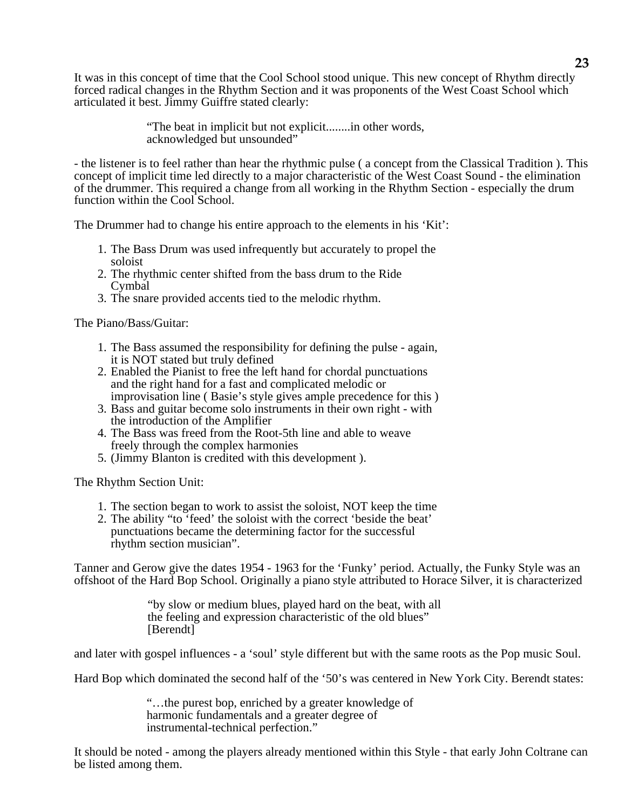It was in this concept of time that the Cool School stood unique. This new concept of Rhythm directly forced radical changes in the Rhythm Section and it was proponents of the West Coast School which articulated it best. Jimmy Guiffre stated clearly:

> "The beat in implicit but not explicit........in other words, acknowledged but unsounded"

- the listener is to feel rather than hear the rhythmic pulse ( a concept from the Classical Tradition ). This concept of implicit time led directly to a major characteristic of the West Coast Sound - the elimination of the drummer. This required a change from all working in the Rhythm Section - especially the drum function within the Cool School.

The Drummer had to change his entire approach to the elements in his 'Kit':

- 1. The Bass Drum was used infrequently but accurately to propel the soloist
- 2. The rhythmic center shifted from the bass drum to the Ride Cymbal
- 3. The snare provided accents tied to the melodic rhythm.

The Piano/Bass/Guitar:

- 1. The Bass assumed the responsibility for defining the pulse again, it is NOT stated but truly defined
- 2. Enabled the Pianist to free the left hand for chordal punctuations and the right hand for a fast and complicated melodic or improvisation line ( Basie's style gives ample precedence for this )
- 3. Bass and guitar become solo instruments in their own right with the introduction of the Amplifier
- 4. The Bass was freed from the Root-5th line and able to weave freely through the complex harmonies
- 5. (Jimmy Blanton is credited with this development ).

The Rhythm Section Unit:

- 1. The section began to work to assist the soloist, NOT keep the time
- 2. The ability "to 'feed' the soloist with the correct 'beside the beat' punctuations became the determining factor for the successful rhythm section musician".

Tanner and Gerow give the dates 1954 - 1963 for the 'Funky' period. Actually, the Funky Style was an offshoot of the Hard Bop School. Originally a piano style attributed to Horace Silver, it is characterized

> "by slow or medium blues, played hard on the beat, with all the feeling and expression characteristic of the old blues" [Berendt]

and later with gospel influences - a 'soul' style different but with the same roots as the Pop music Soul.

Hard Bop which dominated the second half of the '50's was centered in New York City. Berendt states:

"…the purest bop, enriched by a greater knowledge of harmonic fundamentals and a greater degree of instrumental-technical perfection."

It should be noted - among the players already mentioned within this Style - that early John Coltrane can be listed among them.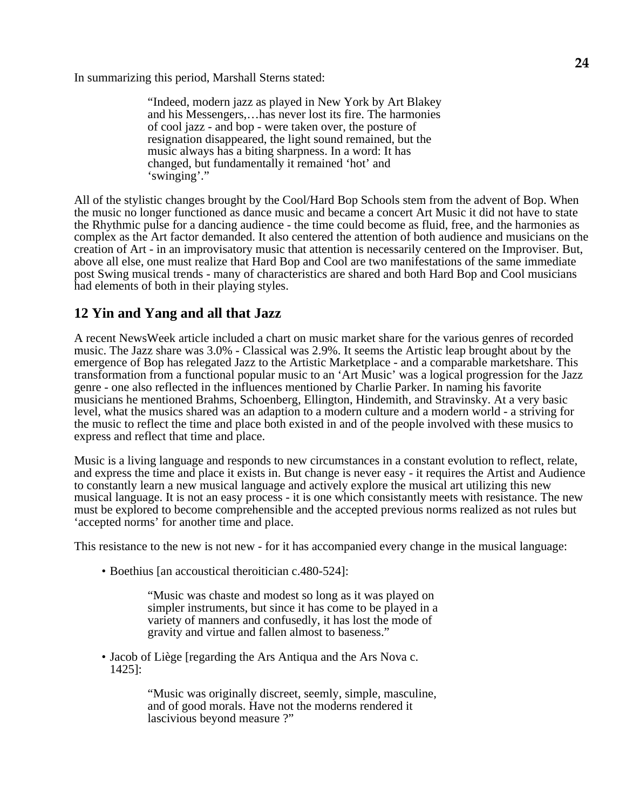In summarizing this period, Marshall Sterns stated:

"Indeed, modern jazz as played in New York by Art Blakey and his Messengers,…has never lost its fire. The harmonies of cool jazz - and bop - were taken over, the posture of resignation disappeared, the light sound remained, but the music always has a biting sharpness. In a word: It has changed, but fundamentally it remained 'hot' and 'swinging'."

All of the stylistic changes brought by the Cool/Hard Bop Schools stem from the advent of Bop. When the music no longer functioned as dance music and became a concert Art Music it did not have to state the Rhythmic pulse for a dancing audience - the time could become as fluid, free, and the harmonies as complex as the Art factor demanded. It also centered the attention of both audience and musicians on the creation of Art - in an improvisatory music that attention is necessarily centered on the Improviser. But, above all else, one must realize that Hard Bop and Cool are two manifestations of the same immediate post Swing musical trends - many of characteristics are shared and both Hard Bop and Cool musicians had elements of both in their playing styles.

# **12 Yin and Yang and all that Jazz**

A recent NewsWeek article included a chart on music market share for the various genres of recorded music. The Jazz share was 3.0% - Classical was 2.9%. It seems the Artistic leap brought about by the emergence of Bop has relegated Jazz to the Artistic Marketplace - and a comparable marketshare. This transformation from a functional popular music to an 'Art Music' was a logical progression for the Jazz genre - one also reflected in the influences mentioned by Charlie Parker. In naming his favorite musicians he mentioned Brahms, Schoenberg, Ellington, Hindemith, and Stravinsky. At a very basic level, what the musics shared was an adaption to a modern culture and a modern world - a striving for the music to reflect the time and place both existed in and of the people involved with these musics to express and reflect that time and place.

Music is a living language and responds to new circumstances in a constant evolution to reflect, relate, and express the time and place it exists in. But change is never easy - it requires the Artist and Audience to constantly learn a new musical language and actively explore the musical art utilizing this new musical language. It is not an easy process - it is one which consistantly meets with resistance. The new must be explored to become comprehensible and the accepted previous norms realized as not rules but 'accepted norms' for another time and place.

This resistance to the new is not new - for it has accompanied every change in the musical language:

• Boethius [an accoustical theroitician c.480-524]:

"Music was chaste and modest so long as it was played on simpler instruments, but since it has come to be played in a variety of manners and confusedly, it has lost the mode of gravity and virtue and fallen almost to baseness."

• Jacob of Liège [regarding the Ars Antiqua and the Ars Nova c. 1425]:

> "Music was originally discreet, seemly, simple, masculine, and of good morals. Have not the moderns rendered it lascivious beyond measure ?"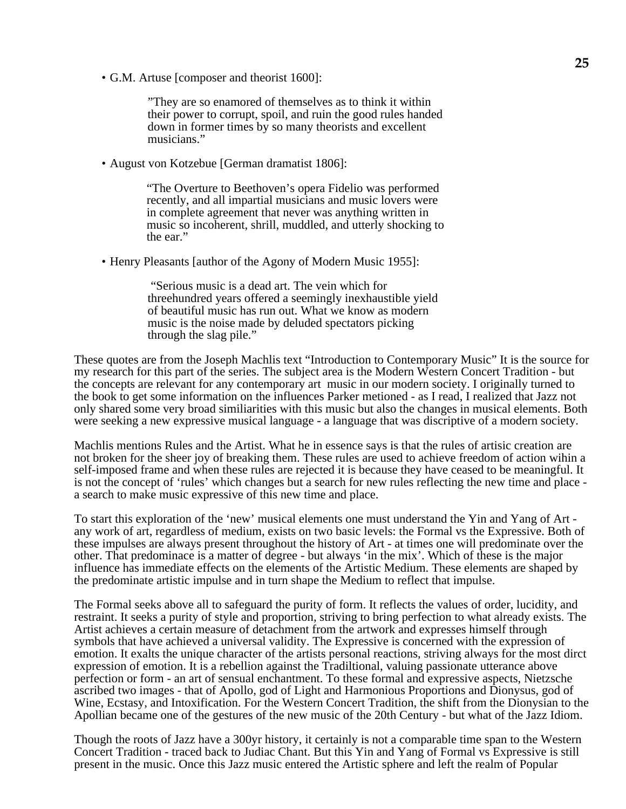• G.M. Artuse [composer and theorist 1600]:

"They are so enamored of themselves as to think it within their power to corrupt, spoil, and ruin the good rules handed down in former times by so many theorists and excellent musicians."

• August von Kotzebue [German dramatist 1806]:

"The Overture to Beethoven's opera Fidelio was performed recently, and all impartial musicians and music lovers were in complete agreement that never was anything written in music so incoherent, shrill, muddled, and utterly shocking to the ear."

• Henry Pleasants [author of the Agony of Modern Music 1955]:

 "Serious music is a dead art. The vein which for threehundred years offered a seemingly inexhaustible yield of beautiful music has run out. What we know as modern music is the noise made by deluded spectators picking through the slag pile."

These quotes are from the Joseph Machlis text "Introduction to Contemporary Music" It is the source for my research for this part of the series. The subject area is the Modern Western Concert Tradition - but the concepts are relevant for any contemporary art music in our modern society. I originally turned to the book to get some information on the influences Parker metioned - as I read, I realized that Jazz not only shared some very broad similiarities with this music but also the changes in musical elements. Both were seeking a new expressive musical language - a language that was discriptive of a modern society.

Machlis mentions Rules and the Artist. What he in essence says is that the rules of artisic creation are not broken for the sheer joy of breaking them. These rules are used to achieve freedom of action wihin a self-imposed frame and when these rules are rejected it is because they have ceased to be meaningful. It is not the concept of 'rules' which changes but a search for new rules reflecting the new time and place a search to make music expressive of this new time and place.

To start this exploration of the 'new' musical elements one must understand the Yin and Yang of Art any work of art, regardless of medium, exists on two basic levels: the Formal vs the Expressive. Both of these impulses are always present throughout the history of Art - at times one will predominate over the other. That predominace is a matter of degree - but always 'in the mix'. Which of these is the major influence has immediate effects on the elements of the Artistic Medium. These elements are shaped by the predominate artistic impulse and in turn shape the Medium to reflect that impulse.

The Formal seeks above all to safeguard the purity of form. It reflects the values of order, lucidity, and restraint. It seeks a purity of style and proportion, striving to bring perfection to what already exists. The Artist achieves a certain measure of detachment from the artwork and expresses himself through symbols that have achieved a universal validity. The Expressive is concerned with the expression of emotion. It exalts the unique character of the artists personal reactions, striving always for the most dirct expression of emotion. It is a rebellion against the Tradiltional, valuing passionate utterance above perfection or form - an art of sensual enchantment. To these formal and expressive aspects, Nietzsche ascribed two images - that of Apollo, god of Light and Harmonious Proportions and Dionysus, god of Wine, Ecstasy, and Intoxification. For the Western Concert Tradition, the shift from the Dionysian to the Apollian became one of the gestures of the new music of the 20th Century - but what of the Jazz Idiom.

Though the roots of Jazz have a 300yr history, it certainly is not a comparable time span to the Western Concert Tradition - traced back to Judiac Chant. But this Yin and Yang of Formal vs Expressive is still present in the music. Once this Jazz music entered the Artistic sphere and left the realm of Popular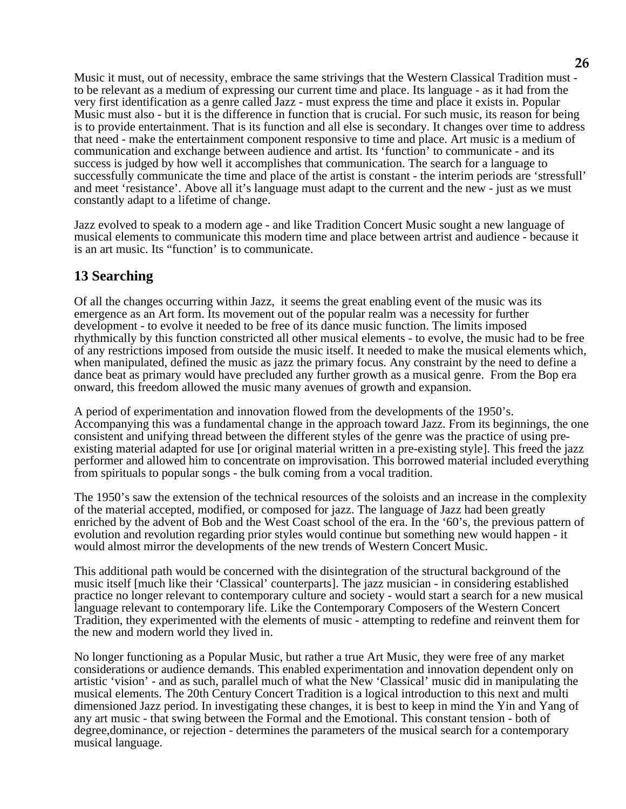Music it must, out of necessity, embrace the same strivings that the Western Classical Tradition must to be relevant as a medium of expressing our current time and place. Its language - as it had from the very first identification as a genre called Jazz - must express the time and place it exists in. Popular Music must also - but it is the difference in function that is crucial. For such music, its reason for being is to provide entertainment. That is its function and all else is secondary. It changes over time to address that need - make the entertainment component responsive to time and place. Art music is a medium of communication and exchange between audience and artist. Its 'function' to communicate - and its success is judged by how well it accomplishes that communication. The search for a language to successfully communicate the time and place of the artist is constant - the interim periods are 'stressfull' and meet 'resistance'. Above all it's language must adapt to the current and the new - just as we must constantly adapt to a lifetime of change.

Jazz evolved to speak to a modern age - and like Tradition Concert Music sought a new language of musical elements to communicate this modern time and place between artrist and audience - because it is an art music. Its "function' is to communicate.

# **13 Searching**

Of all the changes occurring within Jazz, it seems the great enabling event of the music was its emergence as an Art form. Its movement out of the popular realm was a necessity for further development - to evolve it needed to be free of its dance music function. The limits imposed rhythmically by this function constricted all other musical elements - to evolve, the music had to be free of any restrictions imposed from outside the music itself. It needed to make the musical elements which, when manipulated, defined the music as jazz the primary focus. Any constraint by the need to define a dance beat as primary would have precluded any further growth as a musical genre. From the Bop era onward, this freedom allowed the music many avenues of growth and expansion.

A period of experimentation and innovation flowed from the developments of the 1950's. Accompanying this was a fundamental change in the approach toward Jazz. From its beginnings, the one consistent and unifying thread between the different styles of the genre was the practice of using preexisting material adapted for use [or original material written in a pre-existing style]. This freed the jazz performer and allowed him to concentrate on improvisation. This borrowed material included everything from spirituals to popular songs - the bulk coming from a vocal tradition.

The 1950's saw the extension of the technical resources of the soloists and an increase in the complexity of the material accepted, modified, or composed for jazz. The language of Jazz had been greatly enriched by the advent of Bob and the West Coast school of the era. In the '60's, the previous pattern of evolution and revolution regarding prior styles would continue but something new would happen - it would almost mirror the developments of the new trends of Western Concert Music.

This additional path would be concerned with the disintegration of the structural background of the music itself [much like their 'Classical' counterparts]. The jazz musician - in considering established practice no longer relevant to contemporary culture and society - would start a search for a new musical language relevant to contemporary life. Like the Contemporary Composers of the Western Concert Tradition, they experimented with the elements of music - attempting to redefine and reinvent them for the new and modern world they lived in.

No longer functioning as a Popular Music, but rather a true Art Music, they were free of any market considerations or audience demands. This enabled experimentation and innovation dependent only on artistic 'vision' - and as such, parallel much of what the New 'Classical' music did in manipulating the musical elements. The 20th Century Concert Tradition is a logical introduction to this next and multi dimensioned Jazz period. In investigating these changes, it is best to keep in mind the Yin and Yang of any art music - that swing between the Formal and the Emotional. This constant tension - both of degree,dominance, or rejection - determines the parameters of the musical search for a contemporary musical language.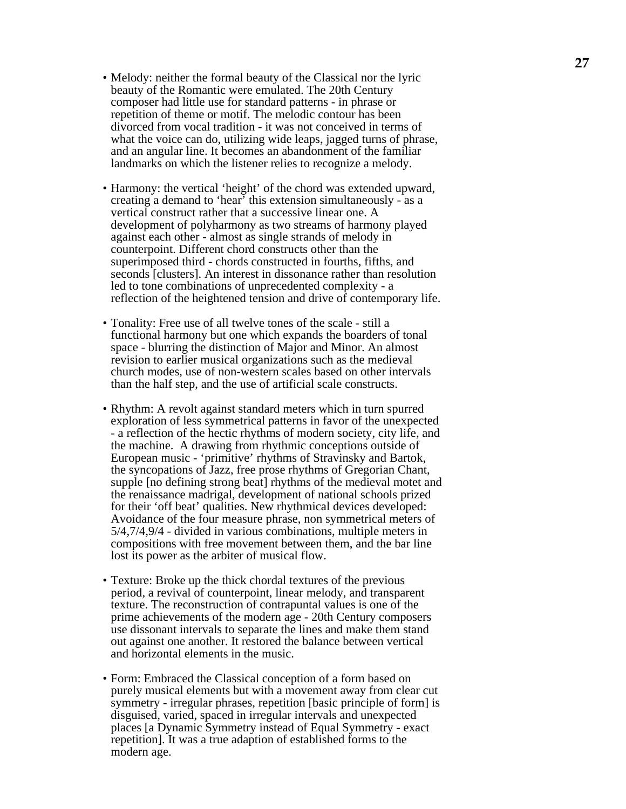- Melody: neither the formal beauty of the Classical nor the lyric beauty of the Romantic were emulated. The 20th Century composer had little use for standard patterns - in phrase or repetition of theme or motif. The melodic contour has been divorced from vocal tradition - it was not conceived in terms of what the voice can do, utilizing wide leaps, jagged turns of phrase, and an angular line. It becomes an abandonment of the familiar landmarks on which the listener relies to recognize a melody.
- Harmony: the vertical 'height' of the chord was extended upward, creating a demand to 'hear' this extension simultaneously - as a vertical construct rather that a successive linear one. A development of polyharmony as two streams of harmony played against each other - almost as single strands of melody in counterpoint. Different chord constructs other than the superimposed third - chords constructed in fourths, fifths, and seconds [clusters]. An interest in dissonance rather than resolution led to tone combinations of unprecedented complexity - a reflection of the heightened tension and drive of contemporary life.
- Tonality: Free use of all twelve tones of the scale still a functional harmony but one which expands the boarders of tonal space - blurring the distinction of Major and Minor. An almost revision to earlier musical organizations such as the medieval church modes, use of non-western scales based on other intervals than the half step, and the use of artificial scale constructs.
- Rhythm: A revolt against standard meters which in turn spurred exploration of less symmetrical patterns in favor of the unexpected - a reflection of the hectic rhythms of modern society, city life, and the machine. A drawing from rhythmic conceptions outside of European music - 'primitive' rhythms of Stravinsky and Bartok, the syncopations of Jazz, free prose rhythms of Gregorian Chant, supple [no defining strong beat] rhythms of the medieval motet and the renaissance madrigal, development of national schools prized for their 'off beat' qualities. New rhythmical devices developed: Avoidance of the four measure phrase, non symmetrical meters of 5/4,7/4,9/4 - divided in various combinations, multiple meters in compositions with free movement between them, and the bar line lost its power as the arbiter of musical flow.
- Texture: Broke up the thick chordal textures of the previous period, a revival of counterpoint, linear melody, and transparent texture. The reconstruction of contrapuntal values is one of the prime achievements of the modern age - 20th Century composers use dissonant intervals to separate the lines and make them stand out against one another. It restored the balance between vertical and horizontal elements in the music.
- Form: Embraced the Classical conception of a form based on purely musical elements but with a movement away from clear cut symmetry - irregular phrases, repetition [basic principle of form] is disguised, varied, spaced in irregular intervals and unexpected places [a Dynamic Symmetry instead of Equal Symmetry - exact repetition]. It was a true adaption of established forms to the modern age.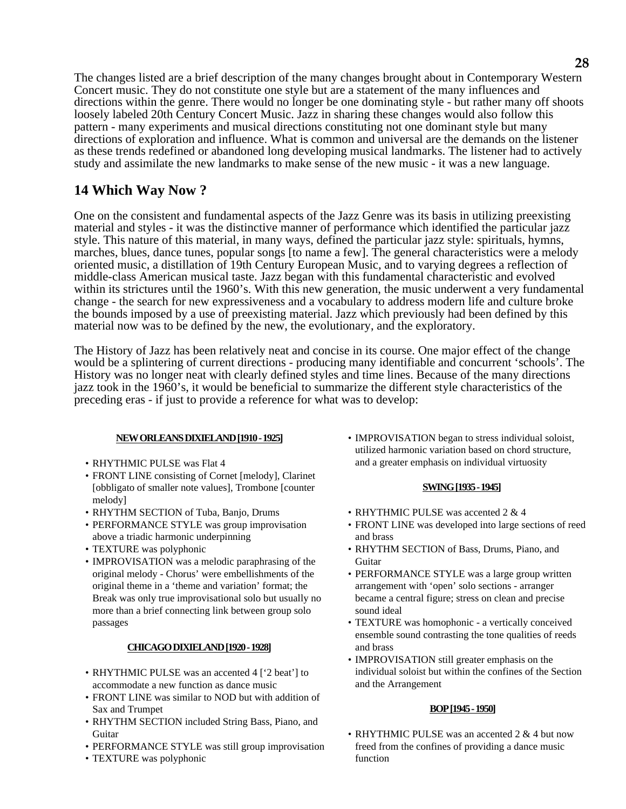The changes listed are a brief description of the many changes brought about in Contemporary Western Concert music. They do not constitute one style but are a statement of the many influences and directions within the genre. There would no longer be one dominating style - but rather many off shoots loosely labeled 20th Century Concert Music. Jazz in sharing these changes would also follow this pattern - many experiments and musical directions constituting not one dominant style but many directions of exploration and influence. What is common and universal are the demands on the listener as these trends redefined or abandoned long developing musical landmarks. The listener had to actively

# **14 Which Way Now ?**

One on the consistent and fundamental aspects of the Jazz Genre was its basis in utilizing preexisting material and styles - it was the distinctive manner of performance which identified the particular jazz style. This nature of this material, in many ways, defined the particular jazz style: spirituals, hymns, marches, blues, dance tunes, popular songs [to name a few]. The general characteristics were a melody oriented music, a distillation of 19th Century European Music, and to varying degrees a reflection of middle-class American musical taste. Jazz began with this fundamental characteristic and evolved within its strictures until the 1960's. With this new generation, the music underwent a very fundamental change - the search for new expressiveness and a vocabulary to address modern life and culture broke the bounds imposed by a use of preexisting material. Jazz which previously had been defined by this material now was to be defined by the new, the evolutionary, and the exploratory.

study and assimilate the new landmarks to make sense of the new music - it was a new language.

The History of Jazz has been relatively neat and concise in its course. One major effect of the change would be a splintering of current directions - producing many identifiable and concurrent 'schools'. The History was no longer neat with clearly defined styles and time lines. Because of the many directions jazz took in the 1960's, it would be beneficial to summarize the different style characteristics of the preceding eras - if just to provide a reference for what was to develop:

### **NEW ORLEANS DIXIELAND [1910 - 1925]**

- RHYTHMIC PULSE was Flat 4
- FRONT LINE consisting of Cornet [melody], Clarinet [obbligato of smaller note values], Trombone [counter melody]
- RHYTHM SECTION of Tuba, Banjo, Drums
- PERFORMANCE STYLE was group improvisation above a triadic harmonic underpinning
- TEXTURE was polyphonic
- IMPROVISATION was a melodic paraphrasing of the original melody - Chorus' were embellishments of the original theme in a 'theme and variation' format; the Break was only true improvisational solo but usually no more than a brief connecting link between group solo passages

### **CHICAGO DIXIELAND [1920 - 1928]**

- RHYTHMIC PULSE was an accented 4 ['2 beat'] to accommodate a new function as dance music
- FRONT LINE was similar to NOD but with addition of Sax and Trumpet
- RHYTHM SECTION included String Bass, Piano, and Guitar
- PERFORMANCE STYLE was still group improvisation
- TEXTURE was polyphonic

• IMPROVISATION began to stress individual soloist, utilized harmonic variation based on chord structure, and a greater emphasis on individual virtuosity

#### **SWING [1935 - 1945]**

- RHYTHMIC PULSE was accented 2 & 4
- FRONT LINE was developed into large sections of reed and brass
- RHYTHM SECTION of Bass, Drums, Piano, and Guitar
- PERFORMANCE STYLE was a large group written arrangement with 'open' solo sections - arranger became a central figure; stress on clean and precise sound ideal
- TEXTURE was homophonic a vertically conceived ensemble sound contrasting the tone qualities of reeds and brass
- IMPROVISATION still greater emphasis on the individual soloist but within the confines of the Section and the Arrangement

### **BOP [1945 - 1950]**

• RHYTHMIC PULSE was an accented 2 & 4 but now freed from the confines of providing a dance music function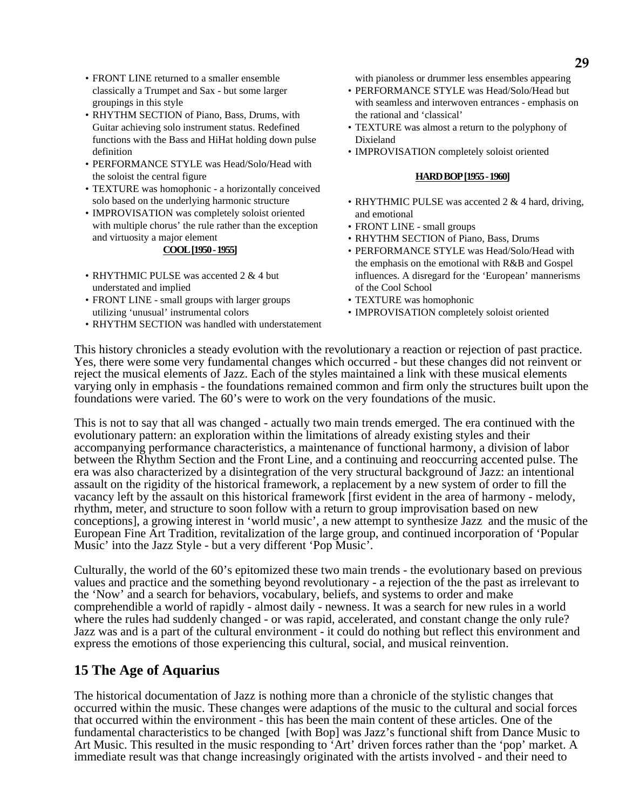- RHYTHM SECTION of Piano, Bass, Drums, with Guitar achieving solo instrument status. Redefined functions with the Bass and HiHat holding down pulse definition
- PERFORMANCE STYLE was Head/Solo/Head with the soloist the central figure
- TEXTURE was homophonic a horizontally conceived solo based on the underlying harmonic structure
- IMPROVISATION was completely soloist oriented with multiple chorus' the rule rather than the exception and virtuosity a major element

#### **COOL [1950 - 1955]**

- RHYTHMIC PULSE was accented 2 & 4 but understated and implied
- FRONT LINE small groups with larger groups utilizing 'unusual' instrumental colors
- RHYTHM SECTION was handled with understatement

with pianoless or drummer less ensembles appearing

- PERFORMANCE STYLE was Head/Solo/Head but with seamless and interwoven entrances - emphasis on the rational and 'classical'
- TEXTURE was almost a return to the polyphony of Dixieland
- IMPROVISATION completely soloist oriented

#### **HARD BOP [1955 - 1960]**

- RHYTHMIC PULSE was accented 2 & 4 hard, driving, and emotional
- FRONT LINE small groups
- RHYTHM SECTION of Piano, Bass, Drums
- PERFORMANCE STYLE was Head/Solo/Head with the emphasis on the emotional with R&B and Gospel influences. A disregard for the 'European' mannerisms of the Cool School
- TEXTURE was homophonic
- IMPROVISATION completely soloist oriented

This history chronicles a steady evolution with the revolutionary a reaction or rejection of past practice. Yes, there were some very fundamental changes which occurred - but these changes did not reinvent or reject the musical elements of Jazz. Each of the styles maintained a link with these musical elements varying only in emphasis - the foundations remained common and firm only the structures built upon the foundations were varied. The 60's were to work on the very foundations of the music.

This is not to say that all was changed - actually two main trends emerged. The era continued with the evolutionary pattern: an exploration within the limitations of already existing styles and their accompanying performance characteristics, a maintenance of functional harmony, a division of labor between the Rhythm Section and the Front Line, and a continuing and reoccurring accented pulse. The era was also characterized by a disintegration of the very structural background of Jazz: an intentional assault on the rigidity of the historical framework, a replacement by a new system of order to fill the vacancy left by the assault on this historical framework [first evident in the area of harmony - melody, rhythm, meter, and structure to soon follow with a return to group improvisation based on new conceptions], a growing interest in 'world music', a new attempt to synthesize Jazz and the music of the European Fine Art Tradition, revitalization of the large group, and continued incorporation of 'Popular Music' into the Jazz Style - but a very different 'Pop Music'.

Culturally, the world of the 60's epitomized these two main trends - the evolutionary based on previous values and practice and the something beyond revolutionary - a rejection of the the past as irrelevant to the 'Now' and a search for behaviors, vocabulary, beliefs, and systems to order and make comprehendible a world of rapidly - almost daily - newness. It was a search for new rules in a world where the rules had suddenly changed - or was rapid, accelerated, and constant change the only rule? Jazz was and is a part of the cultural environment - it could do nothing but reflect this environment and express the emotions of those experiencing this cultural, social, and musical reinvention.

# **15 The Age of Aquarius**

The historical documentation of Jazz is nothing more than a chronicle of the stylistic changes that occurred within the music. These changes were adaptions of the music to the cultural and social forces that occurred within the environment - this has been the main content of these articles. One of the fundamental characteristics to be changed [with Bop] was Jazz's functional shift from Dance Music to Art Music. This resulted in the music responding to 'Art' driven forces rather than the 'pop' market. A immediate result was that change increasingly originated with the artists involved - and their need to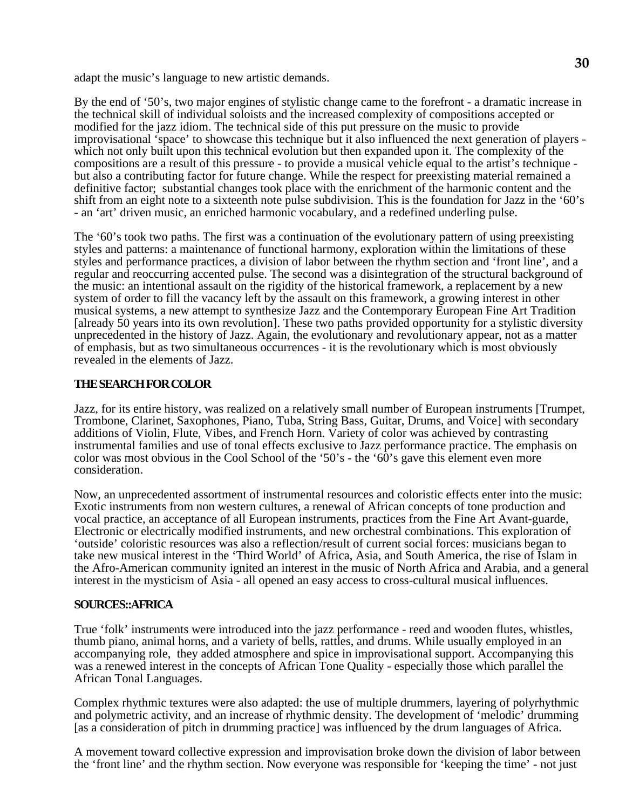adapt the music's language to new artistic demands.

By the end of '50's, two major engines of stylistic change came to the forefront - a dramatic increase in the technical skill of individual soloists and the increased complexity of compositions accepted or modified for the jazz idiom. The technical side of this put pressure on the music to provide improvisational 'space' to showcase this technique but it also influenced the next generation of players which not only built upon this technical evolution but then expanded upon it. The complexity of the compositions are a result of this pressure - to provide a musical vehicle equal to the artist's technique but also a contributing factor for future change. While the respect for preexisting material remained a definitive factor; substantial changes took place with the enrichment of the harmonic content and the shift from an eight note to a sixteenth note pulse subdivision. This is the foundation for Jazz in the '60's - an 'art' driven music, an enriched harmonic vocabulary, and a redefined underling pulse.

The '60's took two paths. The first was a continuation of the evolutionary pattern of using preexisting styles and patterns: a maintenance of functional harmony, exploration within the limitations of these styles and performance practices, a division of labor between the rhythm section and 'front line', and a regular and reoccurring accented pulse. The second was a disintegration of the structural background of the music: an intentional assault on the rigidity of the historical framework, a replacement by a new system of order to fill the vacancy left by the assault on this framework, a growing interest in other musical systems, a new attempt to synthesize Jazz and the Contemporary European Fine Art Tradition [already 50 years into its own revolution]. These two paths provided opportunity for a stylistic diversity unprecedented in the history of Jazz. Again, the evolutionary and revolutionary appear, not as a matter of emphasis, but as two simultaneous occurrences - it is the revolutionary which is most obviously revealed in the elements of Jazz.

## **THE SEARCH FOR COLOR**

Jazz, for its entire history, was realized on a relatively small number of European instruments [Trumpet, Trombone, Clarinet, Saxophones, Piano, Tuba, String Bass, Guitar, Drums, and Voice] with secondary additions of Violin, Flute, Vibes, and French Horn. Variety of color was achieved by contrasting instrumental families and use of tonal effects exclusive to Jazz performance practice. The emphasis on color was most obvious in the Cool School of the '50's - the '60's gave this element even more consideration.

Now, an unprecedented assortment of instrumental resources and coloristic effects enter into the music: Exotic instruments from non western cultures, a renewal of African concepts of tone production and vocal practice, an acceptance of all European instruments, practices from the Fine Art Avant-guarde, Electronic or electrically modified instruments, and new orchestral combinations. This exploration of 'outside' coloristic resources was also a reflection/result of current social forces: musicians began to take new musical interest in the 'Third World' of Africa, Asia, and South America, the rise of Islam in the Afro-American community ignited an interest in the music of North Africa and Arabia, and a general interest in the mysticism of Asia - all opened an easy access to cross-cultural musical influences.

## **SOURCES::AFRICA**

True 'folk' instruments were introduced into the jazz performance - reed and wooden flutes, whistles, thumb piano, animal horns, and a variety of bells, rattles, and drums. While usually employed in an accompanying role, they added atmosphere and spice in improvisational support. Accompanying this was a renewed interest in the concepts of African Tone Quality - especially those which parallel the African Tonal Languages.

Complex rhythmic textures were also adapted: the use of multiple drummers, layering of polyrhythmic and polymetric activity, and an increase of rhythmic density. The development of 'melodic' drumming [as a consideration of pitch in drumming practice] was influenced by the drum languages of Africa.

A movement toward collective expression and improvisation broke down the division of labor between the 'front line' and the rhythm section. Now everyone was responsible for 'keeping the time' - not just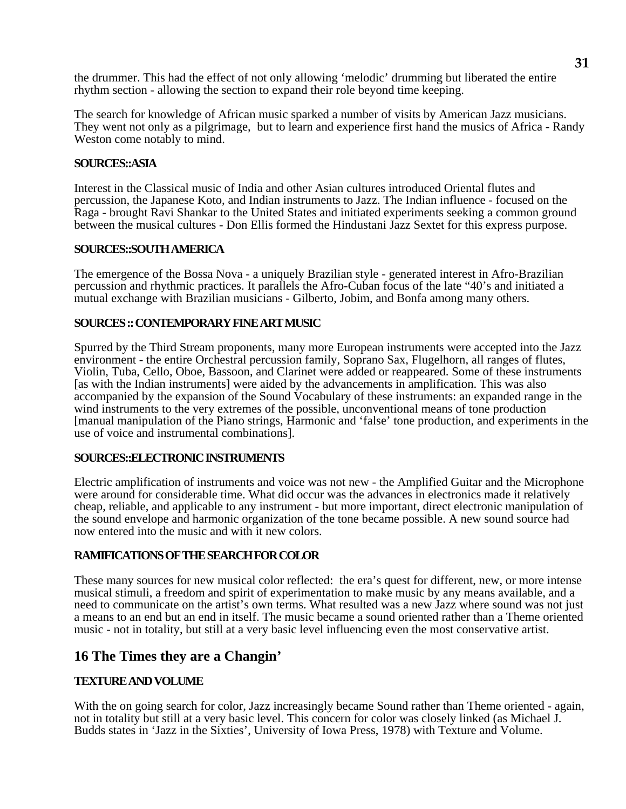the drummer. This had the effect of not only allowing 'melodic' drumming but liberated the entire rhythm section - allowing the section to expand their role beyond time keeping.

The search for knowledge of African music sparked a number of visits by American Jazz musicians. They went not only as a pilgrimage, but to learn and experience first hand the musics of Africa - Randy Weston come notably to mind.

### **SOURCES::ASIA**

Interest in the Classical music of India and other Asian cultures introduced Oriental flutes and percussion, the Japanese Koto, and Indian instruments to Jazz. The Indian influence - focused on the Raga - brought Ravi Shankar to the United States and initiated experiments seeking a common ground between the musical cultures - Don Ellis formed the Hindustani Jazz Sextet for this express purpose.

### **SOURCES::SOUTH AMERICA**

The emergence of the Bossa Nova - a uniquely Brazilian style - generated interest in Afro-Brazilian percussion and rhythmic practices. It parallels the Afro-Cuban focus of the late "40's and initiated a mutual exchange with Brazilian musicians - Gilberto, Jobim, and Bonfa among many others.

## **SOURCES :: CONTEMPORARY FINE ART MUSIC**

Spurred by the Third Stream proponents, many more European instruments were accepted into the Jazz environment - the entire Orchestral percussion family, Soprano Sax, Flugelhorn, all ranges of flutes, Violin, Tuba, Cello, Oboe, Bassoon, and Clarinet were added or reappeared. Some of these instruments [as with the Indian instruments] were aided by the advancements in amplification. This was also accompanied by the expansion of the Sound Vocabulary of these instruments: an expanded range in the wind instruments to the very extremes of the possible, unconventional means of tone production [manual manipulation of the Piano strings, Harmonic and 'false' tone production, and experiments in the use of voice and instrumental combinations].

### **SOURCES::ELECTRONIC INSTRUMENTS**

Electric amplification of instruments and voice was not new - the Amplified Guitar and the Microphone were around for considerable time. What did occur was the advances in electronics made it relatively cheap, reliable, and applicable to any instrument - but more important, direct electronic manipulation of the sound envelope and harmonic organization of the tone became possible. A new sound source had now entered into the music and with it new colors.

## **RAMIFICATIONS OF THE SEARCH FOR COLOR**

These many sources for new musical color reflected: the era's quest for different, new, or more intense musical stimuli, a freedom and spirit of experimentation to make music by any means available, and a need to communicate on the artist's own terms. What resulted was a new Jazz where sound was not just a means to an end but an end in itself. The music became a sound oriented rather than a Theme oriented music - not in totality, but still at a very basic level influencing even the most conservative artist.

# **16 The Times they are a Changin'**

### **TEXTURE AND VOLUME**

With the on going search for color, Jazz increasingly became Sound rather than Theme oriented - again, not in totality but still at a very basic level. This concern for color was closely linked (as Michael J. Budds states in 'Jazz in the Sixties', University of Iowa Press, 1978) with Texture and Volume.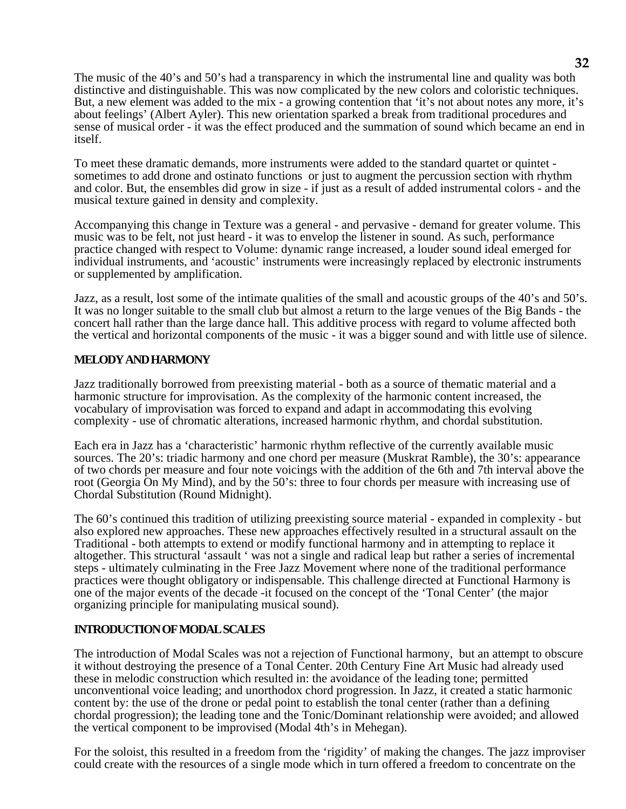The music of the 40's and 50's had a transparency in which the instrumental line and quality was both distinctive and distinguishable. This was now complicated by the new colors and coloristic techniques. But, a new element was added to the mix - a growing contention that 'it's not about notes any more, it's about feelings' (Albert Ayler). This new orientation sparked a break from traditional procedures and sense of musical order - it was the effect produced and the summation of sound which became an end in itself.

To meet these dramatic demands, more instruments were added to the standard quartet or quintet sometimes to add drone and ostinato functions or just to augment the percussion section with rhythm and color. But, the ensembles did grow in size - if just as a result of added instrumental colors - and the musical texture gained in density and complexity.

Accompanying this change in Texture was a general - and pervasive - demand for greater volume. This music was to be felt, not just heard - it was to envelop the listener in sound. As such, performance practice changed with respect to Volume: dynamic range increased, a louder sound ideal emerged for individual instruments, and 'acoustic' instruments were increasingly replaced by electronic instruments or supplemented by amplification.

Jazz, as a result, lost some of the intimate qualities of the small and acoustic groups of the 40's and 50's. It was no longer suitable to the small club but almost a return to the large venues of the Big Bands - the concert hall rather than the large dance hall. This additive process with regard to volume affected both the vertical and horizontal components of the music - it was a bigger sound and with little use of silence.

## **MELODY AND HARMONY**

Jazz traditionally borrowed from preexisting material - both as a source of thematic material and a harmonic structure for improvisation. As the complexity of the harmonic content increased, the vocabulary of improvisation was forced to expand and adapt in accommodating this evolving complexity - use of chromatic alterations, increased harmonic rhythm, and chordal substitution.

Each era in Jazz has a 'characteristic' harmonic rhythm reflective of the currently available music sources. The 20's: triadic harmony and one chord per measure (Muskrat Ramble), the 30's: appearance of two chords per measure and four note voicings with the addition of the 6th and 7th interval above the root (Georgia On My Mind), and by the 50's: three to four chords per measure with increasing use of Chordal Substitution (Round Midnight).

The 60's continued this tradition of utilizing preexisting source material - expanded in complexity - but also explored new approaches. These new approaches effectively resulted in a structural assault on the Traditional - both attempts to extend or modify functional harmony and in attempting to replace it altogether. This structural 'assault ' was not a single and radical leap but rather a series of incremental steps - ultimately culminating in the Free Jazz Movement where none of the traditional performance practices were thought obligatory or indispensable. This challenge directed at Functional Harmony is one of the major events of the decade -it focused on the concept of the 'Tonal Center' (the major organizing principle for manipulating musical sound).

## **INTRODUCTION OF MODAL SCALES**

The introduction of Modal Scales was not a rejection of Functional harmony, but an attempt to obscure it without destroying the presence of a Tonal Center. 20th Century Fine Art Music had already used these in melodic construction which resulted in: the avoidance of the leading tone; permitted unconventional voice leading; and unorthodox chord progression. In Jazz, it created a static harmonic content by: the use of the drone or pedal point to establish the tonal center (rather than a defining chordal progression); the leading tone and the Tonic/Dominant relationship were avoided; and allowed the vertical component to be improvised (Modal 4th's in Mehegan).

For the soloist, this resulted in a freedom from the 'rigidity' of making the changes. The jazz improviser could create with the resources of a single mode which in turn offered a freedom to concentrate on the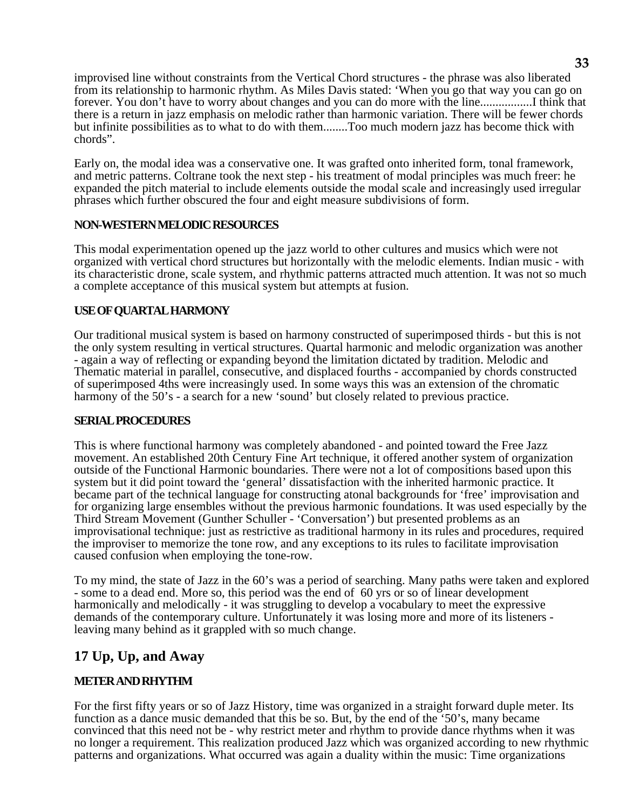improvised line without constraints from the Vertical Chord structures - the phrase was also liberated from its relationship to harmonic rhythm. As Miles Davis stated: 'When you go that way you can go on forever. You don't have to worry about changes and you can do more with the line.................I think that there is a return in jazz emphasis on melodic rather than harmonic variation. There will be fewer chords but infinite possibilities as to what to do with them........Too much modern jazz has become thick with chords".

Early on, the modal idea was a conservative one. It was grafted onto inherited form, tonal framework, and metric patterns. Coltrane took the next step - his treatment of modal principles was much freer: he expanded the pitch material to include elements outside the modal scale and increasingly used irregular phrases which further obscured the four and eight measure subdivisions of form.

## **NON-WESTERN MELODIC RESOURCES**

This modal experimentation opened up the jazz world to other cultures and musics which were not organized with vertical chord structures but horizontally with the melodic elements. Indian music - with its characteristic drone, scale system, and rhythmic patterns attracted much attention. It was not so much a complete acceptance of this musical system but attempts at fusion.

### **USE OF QUARTAL HARMONY**

Our traditional musical system is based on harmony constructed of superimposed thirds - but this is not the only system resulting in vertical structures. Quartal harmonic and melodic organization was another - again a way of reflecting or expanding beyond the limitation dictated by tradition. Melodic and Thematic material in parallel, consecutive, and displaced fourths - accompanied by chords constructed of superimposed 4ths were increasingly used. In some ways this was an extension of the chromatic harmony of the 50's - a search for a new 'sound' but closely related to previous practice.

### **SERIAL PROCEDURES**

This is where functional harmony was completely abandoned - and pointed toward the Free Jazz movement. An established 20th Century Fine Art technique, it offered another system of organization outside of the Functional Harmonic boundaries. There were not a lot of compositions based upon this system but it did point toward the 'general' dissatisfaction with the inherited harmonic practice. It became part of the technical language for constructing atonal backgrounds for 'free' improvisation and for organizing large ensembles without the previous harmonic foundations. It was used especially by the Third Stream Movement (Gunther Schuller - 'Conversation') but presented problems as an improvisational technique: just as restrictive as traditional harmony in its rules and procedures, required the improviser to memorize the tone row, and any exceptions to its rules to facilitate improvisation caused confusion when employing the tone-row.

To my mind, the state of Jazz in the 60's was a period of searching. Many paths were taken and explored - some to a dead end. More so, this period was the end of 60 yrs or so of linear development harmonically and melodically - it was struggling to develop a vocabulary to meet the expressive demands of the contemporary culture. Unfortunately it was losing more and more of its listeners leaving many behind as it grappled with so much change.

# **17 Up, Up, and Away**

## **METER AND RHYTHM**

For the first fifty years or so of Jazz History, time was organized in a straight forward duple meter. Its function as a dance music demanded that this be so. But, by the end of the '50's, many became convinced that this need not be - why restrict meter and rhythm to provide dance rhythms when it was no longer a requirement. This realization produced Jazz which was organized according to new rhythmic patterns and organizations. What occurred was again a duality within the music: Time organizations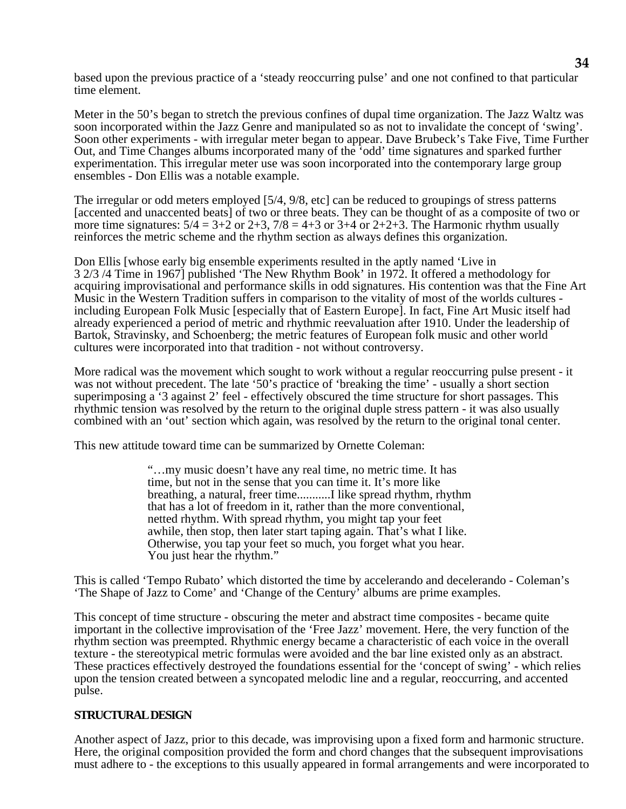based upon the previous practice of a 'steady reoccurring pulse' and one not confined to that particular time element.

Meter in the 50's began to stretch the previous confines of dupal time organization. The Jazz Waltz was soon incorporated within the Jazz Genre and manipulated so as not to invalidate the concept of 'swing'. Soon other experiments - with irregular meter began to appear. Dave Brubeck's Take Five, Time Further Out, and Time Changes albums incorporated many of the 'odd' time signatures and sparked further experimentation. This irregular meter use was soon incorporated into the contemporary large group ensembles - Don Ellis was a notable example.

The irregular or odd meters employed [5/4, 9/8, etc] can be reduced to groupings of stress patterns [accented and unaccented beats] of two or three beats. They can be thought of as a composite of two or more time signatures:  $5/4 = 3+2$  or  $2+3$ ,  $7/8 = 4+3$  or  $3+4$  or  $2+2+3$ . The Harmonic rhythm usually reinforces the metric scheme and the rhythm section as always defines this organization.

Don Ellis [whose early big ensemble experiments resulted in the aptly named 'Live in 3 2/3 /4 Time in 1967] published 'The New Rhythm Book' in 1972. It offered a methodology for acquiring improvisational and performance skills in odd signatures. His contention was that the Fine Art Music in the Western Tradition suffers in comparison to the vitality of most of the worlds cultures including European Folk Music [especially that of Eastern Europe]. In fact, Fine Art Music itself had already experienced a period of metric and rhythmic reevaluation after 1910. Under the leadership of Bartok, Stravinsky, and Schoenberg; the metric features of European folk music and other world cultures were incorporated into that tradition - not without controversy.

More radical was the movement which sought to work without a regular reoccurring pulse present - it was not without precedent. The late '50's practice of 'breaking the time' - usually a short section superimposing a '3 against 2' feel - effectively obscured the time structure for short passages. This rhythmic tension was resolved by the return to the original duple stress pattern - it was also usually combined with an 'out' section which again, was resolved by the return to the original tonal center.

This new attitude toward time can be summarized by Ornette Coleman:

"…my music doesn't have any real time, no metric time. It has time, but not in the sense that you can time it. It's more like breathing, a natural, freer time...........I like spread rhythm, rhythm that has a lot of freedom in it, rather than the more conventional, netted rhythm. With spread rhythm, you might tap your feet awhile, then stop, then later start taping again. That's what I like. Otherwise, you tap your feet so much, you forget what you hear. You just hear the rhythm."

This is called 'Tempo Rubato' which distorted the time by accelerando and decelerando - Coleman's 'The Shape of Jazz to Come' and 'Change of the Century' albums are prime examples.

This concept of time structure - obscuring the meter and abstract time composites - became quite important in the collective improvisation of the 'Free Jazz' movement. Here, the very function of the rhythm section was preempted. Rhythmic energy became a characteristic of each voice in the overall texture - the stereotypical metric formulas were avoided and the bar line existed only as an abstract. These practices effectively destroyed the foundations essential for the 'concept of swing' - which relies upon the tension created between a syncopated melodic line and a regular, reoccurring, and accented pulse.

### **STRUCTURAL DESIGN**

Another aspect of Jazz, prior to this decade, was improvising upon a fixed form and harmonic structure. Here, the original composition provided the form and chord changes that the subsequent improvisations must adhere to - the exceptions to this usually appeared in formal arrangements and were incorporated to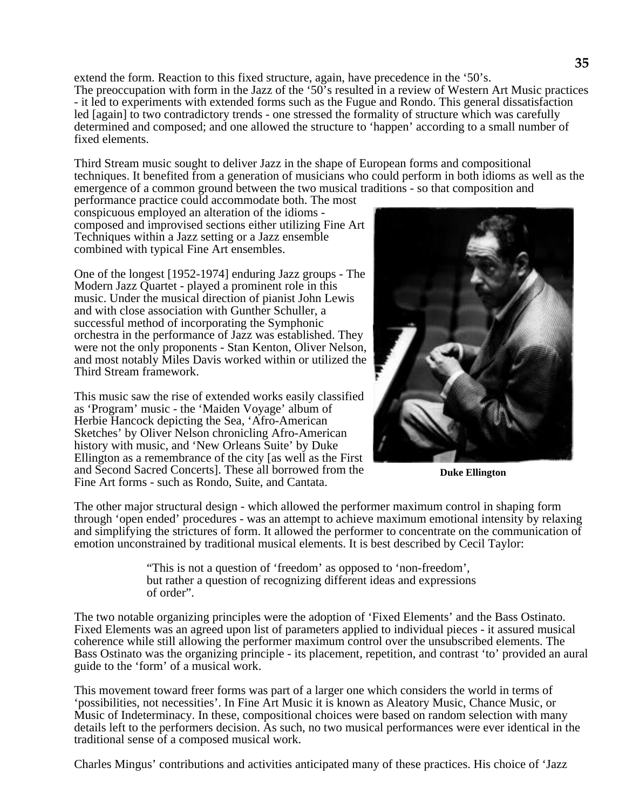extend the form. Reaction to this fixed structure, again, have precedence in the '50's. The preoccupation with form in the Jazz of the '50's resulted in a review of Western Art Music practices - it led to experiments with extended forms such as the Fugue and Rondo. This general dissatisfaction led [again] to two contradictory trends - one stressed the formality of structure which was carefully determined and composed; and one allowed the structure to 'happen' according to a small number of fixed elements.

Third Stream music sought to deliver Jazz in the shape of European forms and compositional techniques. It benefited from a generation of musicians who could perform in both idioms as well as the emergence of a common ground between the two musical traditions - so that composition and

performance practice could accommodate both. The most conspicuous employed an alteration of the idioms composed and improvised sections either utilizing Fine Art Techniques within a Jazz setting or a Jazz ensemble combined with typical Fine Art ensembles.

One of the longest [1952-1974] enduring Jazz groups - The Modern Jazz Quartet - played a prominent role in this music. Under the musical direction of pianist John Lewis and with close association with Gunther Schuller, a successful method of incorporating the Symphonic orchestra in the performance of Jazz was established. They were not the only proponents - Stan Kenton, Oliver Nelson, and most notably Miles Davis worked within or utilized the Third Stream framework.

This music saw the rise of extended works easily classified as 'Program' music - the 'Maiden Voyage' album of Herbie Hancock depicting the Sea, 'Afro-American Sketches' by Oliver Nelson chronicling Afro-American history with music, and 'New Orleans Suite' by Duke Ellington as a remembrance of the city [as well as the First and Second Sacred Concerts]. These all borrowed from the Fine Art forms - such as Rondo, Suite, and Cantata.

**Duke Ellington**

The other major structural design - which allowed the performer maximum control in shaping form through 'open ended' procedures - was an attempt to achieve maximum emotional intensity by relaxing and simplifying the strictures of form. It allowed the performer to concentrate on the communication of emotion unconstrained by traditional musical elements. It is best described by Cecil Taylor:

> "This is not a question of 'freedom' as opposed to 'non-freedom', but rather a question of recognizing different ideas and expressions of order".

The two notable organizing principles were the adoption of 'Fixed Elements' and the Bass Ostinato. Fixed Elements was an agreed upon list of parameters applied to individual pieces - it assured musical coherence while still allowing the performer maximum control over the unsubscribed elements. The Bass Ostinato was the organizing principle - its placement, repetition, and contrast 'to' provided an aural guide to the 'form' of a musical work.

This movement toward freer forms was part of a larger one which considers the world in terms of 'possibilities, not necessities'. In Fine Art Music it is known as Aleatory Music, Chance Music, or Music of Indeterminacy. In these, compositional choices were based on random selection with many details left to the performers decision. As such, no two musical performances were ever identical in the traditional sense of a composed musical work.

Charles Mingus' contributions and activities anticipated many of these practices. His choice of 'Jazz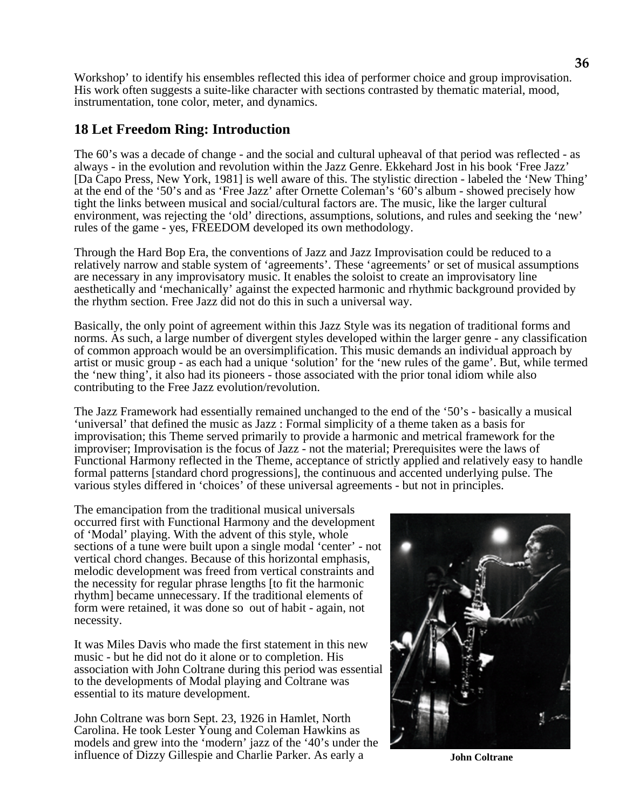Workshop' to identify his ensembles reflected this idea of performer choice and group improvisation. His work often suggests a suite-like character with sections contrasted by thematic material, mood, instrumentation, tone color, meter, and dynamics.

# **18 Let Freedom Ring: Introduction**

The 60's was a decade of change - and the social and cultural upheaval of that period was reflected - as always - in the evolution and revolution within the Jazz Genre. Ekkehard Jost in his book 'Free Jazz' [Da Capo Press, New York, 1981] is well aware of this. The stylistic direction - labeled the 'New Thing' at the end of the '50's and as 'Free Jazz' after Ornette Coleman's '60's album - showed precisely how tight the links between musical and social/cultural factors are. The music, like the larger cultural environment, was rejecting the 'old' directions, assumptions, solutions, and rules and seeking the 'new' rules of the game - yes, FREEDOM developed its own methodology.

Through the Hard Bop Era, the conventions of Jazz and Jazz Improvisation could be reduced to a relatively narrow and stable system of 'agreements'. These 'agreements' or set of musical assumptions are necessary in any improvisatory music. It enables the soloist to create an improvisatory line aesthetically and 'mechanically' against the expected harmonic and rhythmic background provided by the rhythm section. Free Jazz did not do this in such a universal way.

Basically, the only point of agreement within this Jazz Style was its negation of traditional forms and norms. As such, a large number of divergent styles developed within the larger genre - any classification of common approach would be an oversimplification. This music demands an individual approach by artist or music group - as each had a unique 'solution' for the 'new rules of the game'. But, while termed the 'new thing', it also had its pioneers - those associated with the prior tonal idiom while also contributing to the Free Jazz evolution/revolution.

The Jazz Framework had essentially remained unchanged to the end of the '50's - basically a musical 'universal' that defined the music as Jazz : Formal simplicity of a theme taken as a basis for improvisation; this Theme served primarily to provide a harmonic and metrical framework for the improviser; Improvisation is the focus of Jazz - not the material; Prerequisites were the laws of Functional Harmony reflected in the Theme, acceptance of strictly applied and relatively easy to handle formal patterns [standard chord progressions], the continuous and accented underlying pulse. The various styles differed in 'choices' of these universal agreements - but not in principles.

The emancipation from the traditional musical universals occurred first with Functional Harmony and the development of 'Modal' playing. With the advent of this style, whole sections of a tune were built upon a single modal 'center' - not vertical chord changes. Because of this horizontal emphasis, melodic development was freed from vertical constraints and the necessity for regular phrase lengths [to fit the harmonic rhythm] became unnecessary. If the traditional elements of form were retained, it was done so out of habit - again, not necessity.

It was Miles Davis who made the first statement in this new music - but he did not do it alone or to completion. His association with John Coltrane during this period was essential to the developments of Modal playing and Coltrane was essential to its mature development.

John Coltrane was born Sept. 23, 1926 in Hamlet, North Carolina. He took Lester Young and Coleman Hawkins as models and grew into the 'modern' jazz of the '40's under the influence of Dizzy Gillespie and Charlie Parker. As early a



**John Coltrane**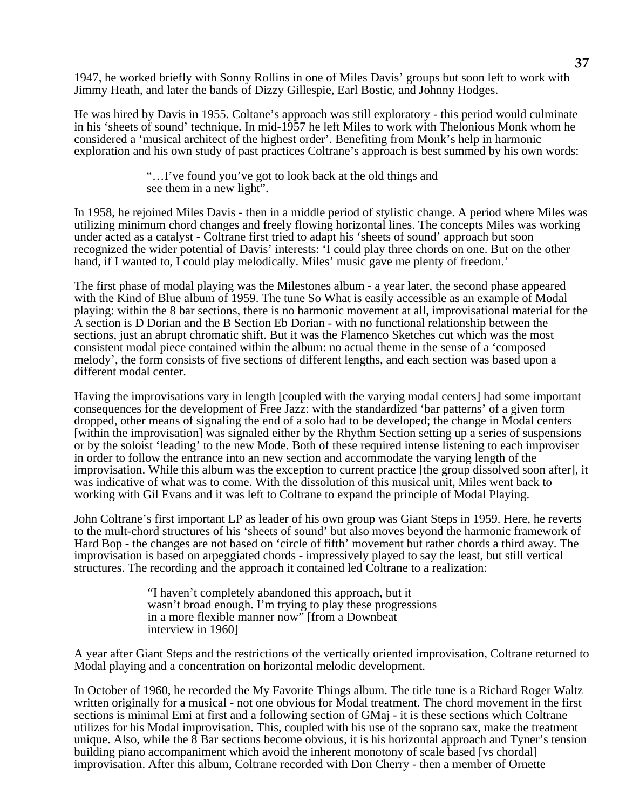1947, he worked briefly with Sonny Rollins in one of Miles Davis' groups but soon left to work with Jimmy Heath, and later the bands of Dizzy Gillespie, Earl Bostic, and Johnny Hodges.

He was hired by Davis in 1955. Coltane's approach was still exploratory - this period would culminate in his 'sheets of sound' technique. In mid-1957 he left Miles to work with Thelonious Monk whom he considered a 'musical architect of the highest order'. Benefiting from Monk's help in harmonic exploration and his own study of past practices Coltrane's approach is best summed by his own words:

> "…I've found you've got to look back at the old things and see them in a new light".

In 1958, he rejoined Miles Davis - then in a middle period of stylistic change. A period where Miles was utilizing minimum chord changes and freely flowing horizontal lines. The concepts Miles was working under acted as a catalyst - Coltrane first tried to adapt his 'sheets of sound' approach but soon recognized the wider potential of Davis' interests: 'I could play three chords on one. But on the other hand, if I wanted to, I could play melodically. Miles' music gave me plenty of freedom.'

The first phase of modal playing was the Milestones album - a year later, the second phase appeared with the Kind of Blue album of 1959. The tune So What is easily accessible as an example of Modal playing: within the 8 bar sections, there is no harmonic movement at all, improvisational material for the A section is D Dorian and the B Section Eb Dorian - with no functional relationship between the sections, just an abrupt chromatic shift. But it was the Flamenco Sketches cut which was the most consistent modal piece contained within the album: no actual theme in the sense of a 'composed melody', the form consists of five sections of different lengths, and each section was based upon a different modal center.

Having the improvisations vary in length [coupled with the varying modal centers] had some important consequences for the development of Free Jazz: with the standardized 'bar patterns' of a given form dropped, other means of signaling the end of a solo had to be developed; the change in Modal centers [within the improvisation] was signaled either by the Rhythm Section setting up a series of suspensions or by the soloist 'leading' to the new Mode. Both of these required intense listening to each improviser in order to follow the entrance into an new section and accommodate the varying length of the improvisation. While this album was the exception to current practice [the group dissolved soon after], it was indicative of what was to come. With the dissolution of this musical unit, Miles went back to working with Gil Evans and it was left to Coltrane to expand the principle of Modal Playing.

John Coltrane's first important LP as leader of his own group was Giant Steps in 1959. Here, he reverts to the mult-chord structures of his 'sheets of sound' but also moves beyond the harmonic framework of Hard Bop - the changes are not based on 'circle of fifth' movement but rather chords a third away. The improvisation is based on arpeggiated chords - impressively played to say the least, but still vertical structures. The recording and the approach it contained led Coltrane to a realization:

> "I haven't completely abandoned this approach, but it wasn't broad enough. I'm trying to play these progressions in a more flexible manner now" [from a Downbeat interview in 1960]

A year after Giant Steps and the restrictions of the vertically oriented improvisation, Coltrane returned to Modal playing and a concentration on horizontal melodic development.

In October of 1960, he recorded the My Favorite Things album. The title tune is a Richard Roger Waltz written originally for a musical - not one obvious for Modal treatment. The chord movement in the first sections is minimal Emi at first and a following section of GMaj - it is these sections which Coltrane utilizes for his Modal improvisation. This, coupled with his use of the soprano sax, make the treatment unique. Also, while the 8 Bar sections become obvious, it is his horizontal approach and Tyner's tension building piano accompaniment which avoid the inherent monotony of scale based [vs chordal] improvisation. After this album, Coltrane recorded with Don Cherry - then a member of Ornette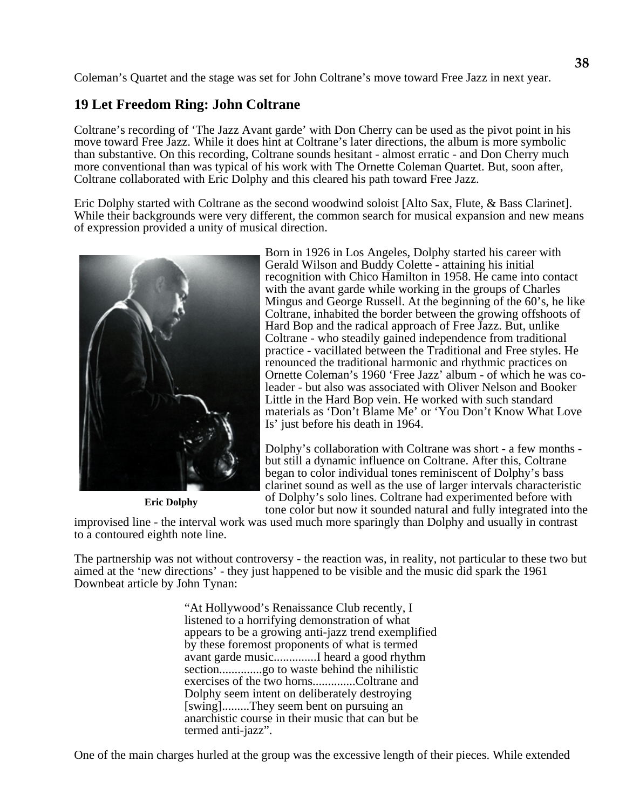Coleman's Quartet and the stage was set for John Coltrane's move toward Free Jazz in next year.

# **19 Let Freedom Ring: John Coltrane**

Coltrane's recording of 'The Jazz Avant garde' with Don Cherry can be used as the pivot point in his move toward Free Jazz. While it does hint at Coltrane's later directions, the album is more symbolic than substantive. On this recording, Coltrane sounds hesitant - almost erratic - and Don Cherry much more conventional than was typical of his work with The Ornette Coleman Quartet. But, soon after, Coltrane collaborated with Eric Dolphy and this cleared his path toward Free Jazz.

Eric Dolphy started with Coltrane as the second woodwind soloist [Alto Sax, Flute, & Bass Clarinet]. While their backgrounds were very different, the common search for musical expansion and new means of expression provided a unity of musical direction.



**Eric Dolphy**

Born in 1926 in Los Angeles, Dolphy started his career with Gerald Wilson and Buddy Colette - attaining his initial recognition with Chico Hamilton in 1958. He came into contact with the avant garde while working in the groups of Charles Mingus and George Russell. At the beginning of the 60's, he like Coltrane, inhabited the border between the growing offshoots of Hard Bop and the radical approach of Free Jazz. But, unlike Coltrane - who steadily gained independence from traditional practice - vacillated between the Traditional and Free styles. He renounced the traditional harmonic and rhythmic practices on Ornette Coleman's 1960 'Free Jazz' album - of which he was coleader - but also was associated with Oliver Nelson and Booker Little in the Hard Bop vein. He worked with such standard materials as 'Don't Blame Me' or 'You Don't Know What Love Is' just before his death in 1964.

Dolphy's collaboration with Coltrane was short - a few months but still a dynamic influence on Coltrane. After this, Coltrane began to color individual tones reminiscent of Dolphy's bass clarinet sound as well as the use of larger intervals characteristic of Dolphy's solo lines. Coltrane had experimented before with tone color but now it sounded natural and fully integrated into the

improvised line - the interval work was used much more sparingly than Dolphy and usually in contrast to a contoured eighth note line.

The partnership was not without controversy - the reaction was, in reality, not particular to these two but aimed at the 'new directions' - they just happened to be visible and the music did spark the 1961 Downbeat article by John Tynan:

> "At Hollywood's Renaissance Club recently, I listened to a horrifying demonstration of what appears to be a growing anti-jazz trend exemplified by these foremost proponents of what is termed avant garde music..............I heard a good rhythm section..............go to waste behind the nihilistic exercises of the two horns..............Coltrane and Dolphy seem intent on deliberately destroying [swing].........They seem bent on pursuing an anarchistic course in their music that can but be termed anti-jazz".

One of the main charges hurled at the group was the excessive length of their pieces. While extended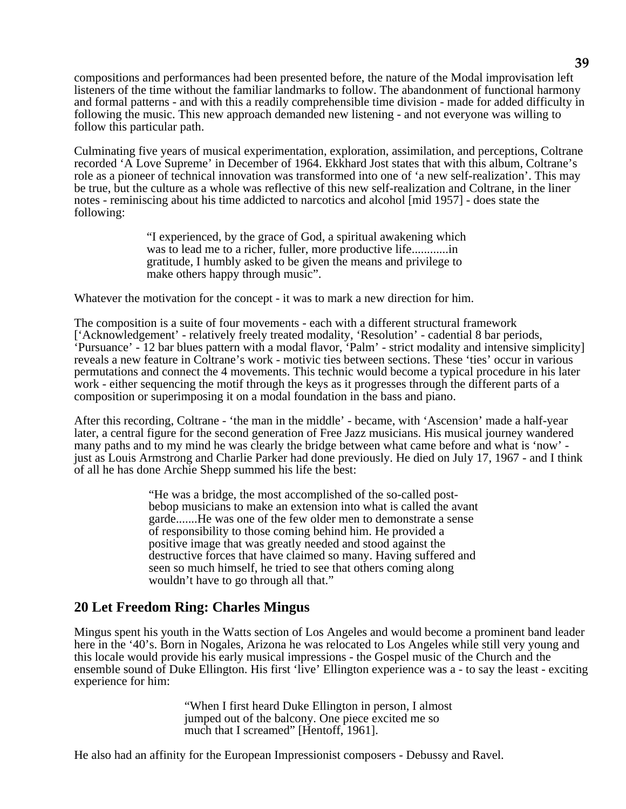compositions and performances had been presented before, the nature of the Modal improvisation left listeners of the time without the familiar landmarks to follow. The abandonment of functional harmony and formal patterns - and with this a readily comprehensible time division - made for added difficulty in following the music. This new approach demanded new listening - and not everyone was willing to follow this particular path.

Culminating five years of musical experimentation, exploration, assimilation, and perceptions, Coltrane recorded 'A Love Supreme' in December of 1964. Ekkhard Jost states that with this album, Coltrane's role as a pioneer of technical innovation was transformed into one of 'a new self-realization'. This may be true, but the culture as a whole was reflective of this new self-realization and Coltrane, in the liner notes - reminiscing about his time addicted to narcotics and alcohol [mid 1957] - does state the following:

> "I experienced, by the grace of God, a spiritual awakening which was to lead me to a richer, fuller, more productive life............in gratitude, I humbly asked to be given the means and privilege to make others happy through music".

Whatever the motivation for the concept - it was to mark a new direction for him.

The composition is a suite of four movements - each with a different structural framework ['Acknowledgement' - relatively freely treated modality, 'Resolution' - cadential 8 bar periods, 'Pursuance' - 12 bar blues pattern with a modal flavor, 'Palm' - strict modality and intensive simplicity] reveals a new feature in Coltrane's work - motivic ties between sections. These 'ties' occur in various permutations and connect the 4 movements. This technic would become a typical procedure in his later work - either sequencing the motif through the keys as it progresses through the different parts of a composition or superimposing it on a modal foundation in the bass and piano.

After this recording, Coltrane - 'the man in the middle' - became, with 'Ascension' made a half-year later, a central figure for the second generation of Free Jazz musicians. His musical journey wandered many paths and to my mind he was clearly the bridge between what came before and what is 'now' just as Louis Armstrong and Charlie Parker had done previously. He died on July 17, 1967 - and I think of all he has done Archie Shepp summed his life the best:

> "He was a bridge, the most accomplished of the so-called postbebop musicians to make an extension into what is called the avant garde.......He was one of the few older men to demonstrate a sense of responsibility to those coming behind him. He provided a positive image that was greatly needed and stood against the destructive forces that have claimed so many. Having suffered and seen so much himself, he tried to see that others coming along wouldn't have to go through all that."

# **20 Let Freedom Ring: Charles Mingus**

Mingus spent his youth in the Watts section of Los Angeles and would become a prominent band leader here in the '40's. Born in Nogales, Arizona he was relocated to Los Angeles while still very young and this locale would provide his early musical impressions - the Gospel music of the Church and the ensemble sound of Duke Ellington. His first 'live' Ellington experience was a - to say the least - exciting experience for him:

> "When I first heard Duke Ellington in person, I almost jumped out of the balcony. One piece excited me so much that I screamed" [Hentoff, 1961].

He also had an affinity for the European Impressionist composers - Debussy and Ravel.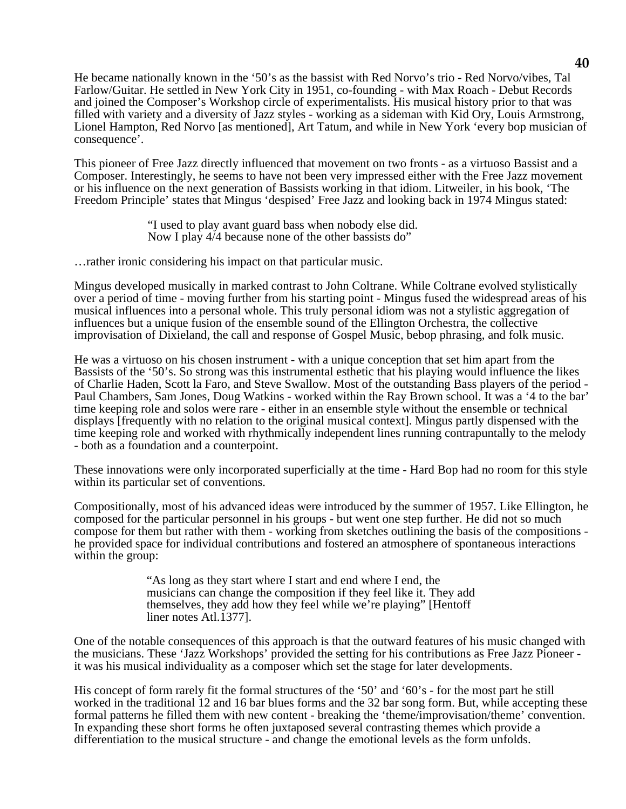He became nationally known in the '50's as the bassist with Red Norvo's trio - Red Norvo/vibes, Tal Farlow/Guitar. He settled in New York City in 1951, co-founding - with Max Roach - Debut Records and joined the Composer's Workshop circle of experimentalists. His musical history prior to that was filled with variety and a diversity of Jazz styles - working as a sideman with Kid Ory, Louis Armstrong, Lionel Hampton, Red Norvo [as mentioned], Art Tatum, and while in New York 'every bop musician of consequence'.

This pioneer of Free Jazz directly influenced that movement on two fronts - as a virtuoso Bassist and a Composer. Interestingly, he seems to have not been very impressed either with the Free Jazz movement or his influence on the next generation of Bassists working in that idiom. Litweiler, in his book, 'The Freedom Principle' states that Mingus 'despised' Free Jazz and looking back in 1974 Mingus stated:

> "I used to play avant guard bass when nobody else did. Now I play 4/4 because none of the other bassists do"

…rather ironic considering his impact on that particular music.

Mingus developed musically in marked contrast to John Coltrane. While Coltrane evolved stylistically over a period of time - moving further from his starting point - Mingus fused the widespread areas of his musical influences into a personal whole. This truly personal idiom was not a stylistic aggregation of influences but a unique fusion of the ensemble sound of the Ellington Orchestra, the collective improvisation of Dixieland, the call and response of Gospel Music, bebop phrasing, and folk music.

He was a virtuoso on his chosen instrument - with a unique conception that set him apart from the Bassists of the '50's. So strong was this instrumental esthetic that his playing would influence the likes of Charlie Haden, Scott la Faro, and Steve Swallow. Most of the outstanding Bass players of the period - Paul Chambers, Sam Jones, Doug Watkins - worked within the Ray Brown school. It was a '4 to the bar' time keeping role and solos were rare - either in an ensemble style without the ensemble or technical displays [frequently with no relation to the original musical context]. Mingus partly dispensed with the time keeping role and worked with rhythmically independent lines running contrapuntally to the melody - both as a foundation and a counterpoint.

These innovations were only incorporated superficially at the time - Hard Bop had no room for this style within its particular set of conventions.

Compositionally, most of his advanced ideas were introduced by the summer of 1957. Like Ellington, he composed for the particular personnel in his groups - but went one step further. He did not so much compose for them but rather with them - working from sketches outlining the basis of the compositions he provided space for individual contributions and fostered an atmosphere of spontaneous interactions within the group:

> "As long as they start where I start and end where I end, the musicians can change the composition if they feel like it. They add themselves, they add how they feel while we're playing" [Hentoff liner notes Atl.1377].

One of the notable consequences of this approach is that the outward features of his music changed with the musicians. These 'Jazz Workshops' provided the setting for his contributions as Free Jazz Pioneer it was his musical individuality as a composer which set the stage for later developments.

His concept of form rarely fit the formal structures of the '50' and '60's - for the most part he still worked in the traditional 12 and 16 bar blues forms and the 32 bar song form. But, while accepting these formal patterns he filled them with new content - breaking the 'theme/improvisation/theme' convention. In expanding these short forms he often juxtaposed several contrasting themes which provide a differentiation to the musical structure - and change the emotional levels as the form unfolds.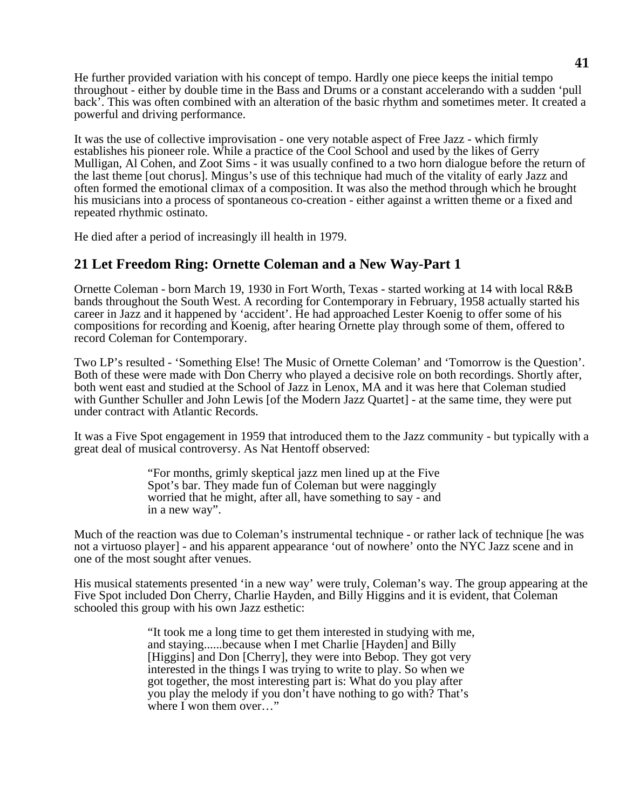He further provided variation with his concept of tempo. Hardly one piece keeps the initial tempo throughout - either by double time in the Bass and Drums or a constant accelerando with a sudden 'pull back'. This was often combined with an alteration of the basic rhythm and sometimes meter. It created a powerful and driving performance.

It was the use of collective improvisation - one very notable aspect of Free Jazz - which firmly establishes his pioneer role. While a practice of the Cool School and used by the likes of Gerry Mulligan, Al Cohen, and Zoot Sims - it was usually confined to a two horn dialogue before the return of the last theme [out chorus]. Mingus's use of this technique had much of the vitality of early Jazz and often formed the emotional climax of a composition. It was also the method through which he brought his musicians into a process of spontaneous co-creation - either against a written theme or a fixed and repeated rhythmic ostinato.

He died after a period of increasingly ill health in 1979.

# **21 Let Freedom Ring: Ornette Coleman and a New Way-Part 1**

Ornette Coleman - born March 19, 1930 in Fort Worth, Texas - started working at 14 with local R&B bands throughout the South West. A recording for Contemporary in February, 1958 actually started his career in Jazz and it happened by 'accident'. He had approached Lester Koenig to offer some of his compositions for recording and Koenig, after hearing Ornette play through some of them, offered to record Coleman for Contemporary.

Two LP's resulted - 'Something Else! The Music of Ornette Coleman' and 'Tomorrow is the Question'. Both of these were made with Don Cherry who played a decisive role on both recordings. Shortly after, both went east and studied at the School of Jazz in Lenox, MA and it was here that Coleman studied with Gunther Schuller and John Lewis [of the Modern Jazz Quartet] - at the same time, they were put under contract with Atlantic Records.

It was a Five Spot engagement in 1959 that introduced them to the Jazz community - but typically with a great deal of musical controversy. As Nat Hentoff observed:

> "For months, grimly skeptical jazz men lined up at the Five Spot's bar. They made fun of Coleman but were naggingly worried that he might, after all, have something to say - and in a new way".

Much of the reaction was due to Coleman's instrumental technique - or rather lack of technique [he was not a virtuoso player] - and his apparent appearance 'out of nowhere' onto the NYC Jazz scene and in one of the most sought after venues.

His musical statements presented 'in a new way' were truly, Coleman's way. The group appearing at the Five Spot included Don Cherry, Charlie Hayden, and Billy Higgins and it is evident, that Coleman schooled this group with his own Jazz esthetic:

> "It took me a long time to get them interested in studying with me, and staying......because when I met Charlie [Hayden] and Billy [Higgins] and Don [Cherry], they were into Bebop. They got very interested in the things I was trying to write to play. So when we got together, the most interesting part is: What do you play after you play the melody if you don't have nothing to go with? That's where I won them over…"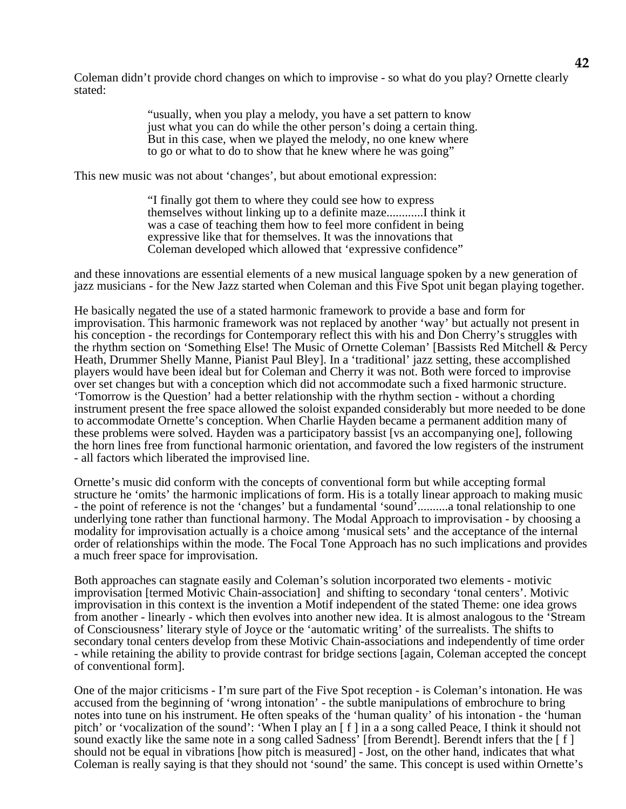Coleman didn't provide chord changes on which to improvise - so what do you play? Ornette clearly stated:

> "usually, when you play a melody, you have a set pattern to know just what you can do while the other person's doing a certain thing. But in this case, when we played the melody, no one knew where to go or what to do to show that he knew where he was going"

This new music was not about 'changes', but about emotional expression:

"I finally got them to where they could see how to express themselves without linking up to a definite maze............I think it was a case of teaching them how to feel more confident in being expressive like that for themselves. It was the innovations that Coleman developed which allowed that 'expressive confidence"

and these innovations are essential elements of a new musical language spoken by a new generation of jazz musicians - for the New Jazz started when Coleman and this Five Spot unit began playing together.

He basically negated the use of a stated harmonic framework to provide a base and form for improvisation. This harmonic framework was not replaced by another 'way' but actually not present in his conception - the recordings for Contemporary reflect this with his and Don Cherry's struggles with the rhythm section on 'Something Else! The Music of Ornette Coleman' [Bassists Red Mitchell & Percy Heath, Drummer Shelly Manne, Pianist Paul Bley]. In a 'traditional' jazz setting, these accomplished players would have been ideal but for Coleman and Cherry it was not. Both were forced to improvise over set changes but with a conception which did not accommodate such a fixed harmonic structure. 'Tomorrow is the Question' had a better relationship with the rhythm section - without a chording instrument present the free space allowed the soloist expanded considerably but more needed to be done to accommodate Ornette's conception. When Charlie Hayden became a permanent addition many of these problems were solved. Hayden was a participatory bassist [vs an accompanying one], following the horn lines free from functional harmonic orientation, and favored the low registers of the instrument - all factors which liberated the improvised line.

Ornette's music did conform with the concepts of conventional form but while accepting formal structure he 'omits' the harmonic implications of form. His is a totally linear approach to making music - the point of reference is not the 'changes' but a fundamental 'sound'..........a tonal relationship to one underlying tone rather than functional harmony. The Modal Approach to improvisation - by choosing a modality for improvisation actually is a choice among 'musical sets' and the acceptance of the internal order of relationships within the mode. The Focal Tone Approach has no such implications and provides a much freer space for improvisation.

Both approaches can stagnate easily and Coleman's solution incorporated two elements - motivic improvisation [termed Motivic Chain-association] and shifting to secondary 'tonal centers'. Motivic improvisation in this context is the invention a Motif independent of the stated Theme: one idea grows from another - linearly - which then evolves into another new idea. It is almost analogous to the 'Stream of Consciousness' literary style of Joyce or the 'automatic writing' of the surrealists. The shifts to secondary tonal centers develop from these Motivic Chain-associations and independently of time order - while retaining the ability to provide contrast for bridge sections [again, Coleman accepted the concept of conventional form].

One of the major criticisms - I'm sure part of the Five Spot reception - is Coleman's intonation. He was accused from the beginning of 'wrong intonation' - the subtle manipulations of embrochure to bring notes into tune on his instrument. He often speaks of the 'human quality' of his intonation - the 'human pitch' or 'vocalization of the sound': 'When I play an [ f ] in a a song called Peace, I think it should not sound exactly like the same note in a song called Sadness' [from Berendt]. Berendt infers that the [ f ] should not be equal in vibrations [how pitch is measured] - Jost, on the other hand, indicates that what Coleman is really saying is that they should not 'sound' the same. This concept is used within Ornette's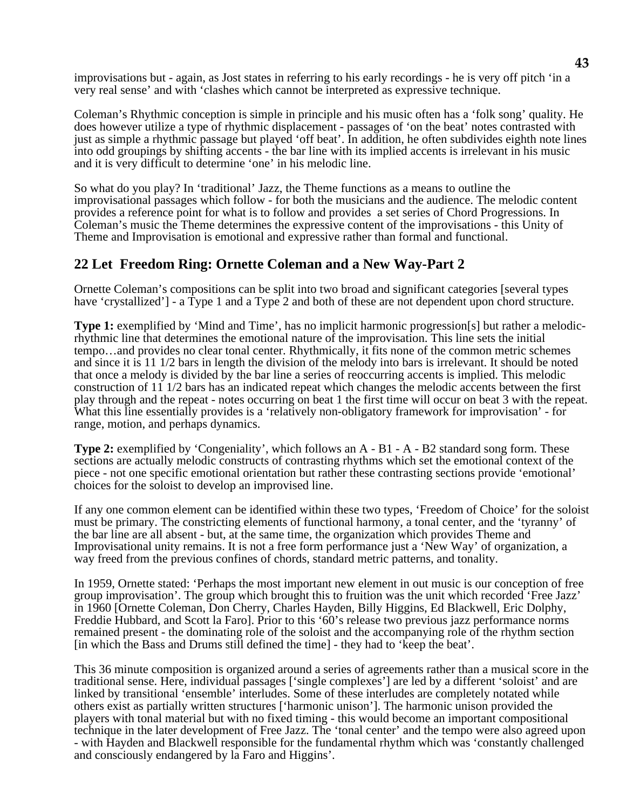improvisations but - again, as Jost states in referring to his early recordings - he is very off pitch 'in a very real sense' and with 'clashes which cannot be interpreted as expressive technique.

Coleman's Rhythmic conception is simple in principle and his music often has a 'folk song' quality. He does however utilize a type of rhythmic displacement - passages of 'on the beat' notes contrasted with just as simple a rhythmic passage but played 'off beat'. In addition, he often subdivides eighth note lines into odd groupings by shifting accents - the bar line with its implied accents is irrelevant in his music and it is very difficult to determine 'one' in his melodic line.

So what do you play? In 'traditional' Jazz, the Theme functions as a means to outline the improvisational passages which follow - for both the musicians and the audience. The melodic content provides a reference point for what is to follow and provides a set series of Chord Progressions. In Coleman's music the Theme determines the expressive content of the improvisations - this Unity of Theme and Improvisation is emotional and expressive rather than formal and functional.

## **22 Let Freedom Ring: Ornette Coleman and a New Way-Part 2**

Ornette Coleman's compositions can be split into two broad and significant categories [several types have 'crystallized'] - a Type 1 and a Type 2 and both of these are not dependent upon chord structure.

**Type 1:** exemplified by 'Mind and Time', has no implicit harmonic progression [s] but rather a melodicrhythmic line that determines the emotional nature of the improvisation. This line sets the initial tempo…and provides no clear tonal center. Rhythmically, it fits none of the common metric schemes and since it is 11 1/2 bars in length the division of the melody into bars is irrelevant. It should be noted that once a melody is divided by the bar line a series of reoccurring accents is implied. This melodic construction of 11 1/2 bars has an indicated repeat which changes the melodic accents between the first play through and the repeat - notes occurring on beat 1 the first time will occur on beat 3 with the repeat. What this line essentially provides is a 'relatively non-obligatory framework for improvisation' - for range, motion, and perhaps dynamics.

**Type 2:** exemplified by 'Congeniality', which follows an A - B1 - A - B2 standard song form. These sections are actually melodic constructs of contrasting rhythms which set the emotional context of the piece - not one specific emotional orientation but rather these contrasting sections provide 'emotional' choices for the soloist to develop an improvised line.

If any one common element can be identified within these two types, 'Freedom of Choice' for the soloist must be primary. The constricting elements of functional harmony, a tonal center, and the 'tyranny' of the bar line are all absent - but, at the same time, the organization which provides Theme and Improvisational unity remains. It is not a free form performance just a 'New Way' of organization, a way freed from the previous confines of chords, standard metric patterns, and tonality.

In 1959, Ornette stated: 'Perhaps the most important new element in out music is our conception of free group improvisation'. The group which brought this to fruition was the unit which recorded 'Free Jazz' in 1960 [Ornette Coleman, Don Cherry, Charles Hayden, Billy Higgins, Ed Blackwell, Eric Dolphy, Freddie Hubbard, and Scott la Faro]. Prior to this '60's release two previous jazz performance norms remained present - the dominating role of the soloist and the accompanying role of the rhythm section [in which the Bass and Drums still defined the time] - they had to 'keep the beat'.

This 36 minute composition is organized around a series of agreements rather than a musical score in the traditional sense. Here, individual passages ['single complexes'] are led by a different 'soloist' and are linked by transitional 'ensemble' interludes. Some of these interludes are completely notated while others exist as partially written structures ['harmonic unison']. The harmonic unison provided the players with tonal material but with no fixed timing - this would become an important compositional technique in the later development of Free Jazz. The 'tonal center' and the tempo were also agreed upon - with Hayden and Blackwell responsible for the fundamental rhythm which was 'constantly challenged and consciously endangered by la Faro and Higgins'.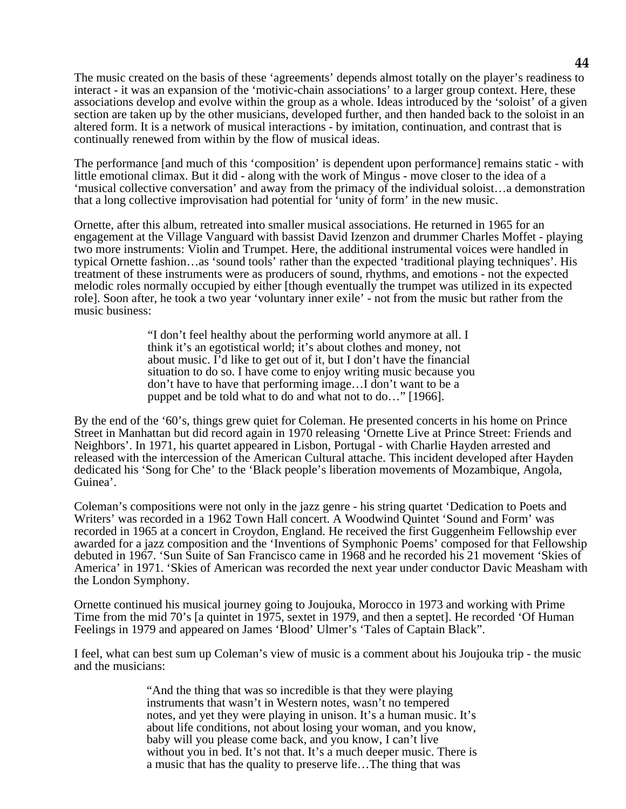The music created on the basis of these 'agreements' depends almost totally on the player's readiness to interact - it was an expansion of the 'motivic-chain associations' to a larger group context. Here, these associations develop and evolve within the group as a whole. Ideas introduced by the 'soloist' of a given section are taken up by the other musicians, developed further, and then handed back to the soloist in an altered form. It is a network of musical interactions - by imitation, continuation, and contrast that is continually renewed from within by the flow of musical ideas.

The performance [and much of this 'composition' is dependent upon performance] remains static - with little emotional climax. But it did - along with the work of Mingus - move closer to the idea of a 'musical collective conversation' and away from the primacy of the individual soloist…a demonstration that a long collective improvisation had potential for 'unity of form' in the new music.

Ornette, after this album, retreated into smaller musical associations. He returned in 1965 for an engagement at the Village Vanguard with bassist David Izenzon and drummer Charles Moffet - playing two more instruments: Violin and Trumpet. Here, the additional instrumental voices were handled in typical Ornette fashion…as 'sound tools' rather than the expected 'traditional playing techniques'. His treatment of these instruments were as producers of sound, rhythms, and emotions - not the expected melodic roles normally occupied by either [though eventually the trumpet was utilized in its expected role]. Soon after, he took a two year 'voluntary inner exile' - not from the music but rather from the music business:

> "I don't feel healthy about the performing world anymore at all. I think it's an egotistical world; it's about clothes and money, not about music. I'd like to get out of it, but I don't have the financial situation to do so. I have come to enjoy writing music because you don't have to have that performing image…I don't want to be a puppet and be told what to do and what not to do…" [1966].

By the end of the '60's, things grew quiet for Coleman. He presented concerts in his home on Prince Street in Manhattan but did record again in 1970 releasing 'Ornette Live at Prince Street: Friends and Neighbors'. In 1971, his quartet appeared in Lisbon, Portugal - with Charlie Hayden arrested and released with the intercession of the American Cultural attache. This incident developed after Hayden dedicated his 'Song for Che' to the 'Black people's liberation movements of Mozambique, Angola, Guinea'.

Coleman's compositions were not only in the jazz genre - his string quartet 'Dedication to Poets and Writers' was recorded in a 1962 Town Hall concert. A Woodwind Quintet 'Sound and Form' was recorded in 1965 at a concert in Croydon, England. He received the first Guggenheim Fellowship ever awarded for a jazz composition and the 'Inventions of Symphonic Poems' composed for that Fellowship debuted in 1967. 'Sun Suite of San Francisco came in 1968 and he recorded his 21 movement 'Skies of America' in 1971. 'Skies of American was recorded the next year under conductor Davic Measham with the London Symphony.

Ornette continued his musical journey going to Joujouka, Morocco in 1973 and working with Prime Time from the mid 70's [a quintet in 1975, sextet in 1979, and then a septet]. He recorded 'Of Human Feelings in 1979 and appeared on James 'Blood' Ulmer's 'Tales of Captain Black".

I feel, what can best sum up Coleman's view of music is a comment about his Joujouka trip - the music and the musicians:

> "And the thing that was so incredible is that they were playing instruments that wasn't in Western notes, wasn't no tempered notes, and yet they were playing in unison. It's a human music. It's about life conditions, not about losing your woman, and you know, baby will you please come back, and you know, I can't live without you in bed. It's not that. It's a much deeper music. There is a music that has the quality to preserve life…The thing that was

### **44**